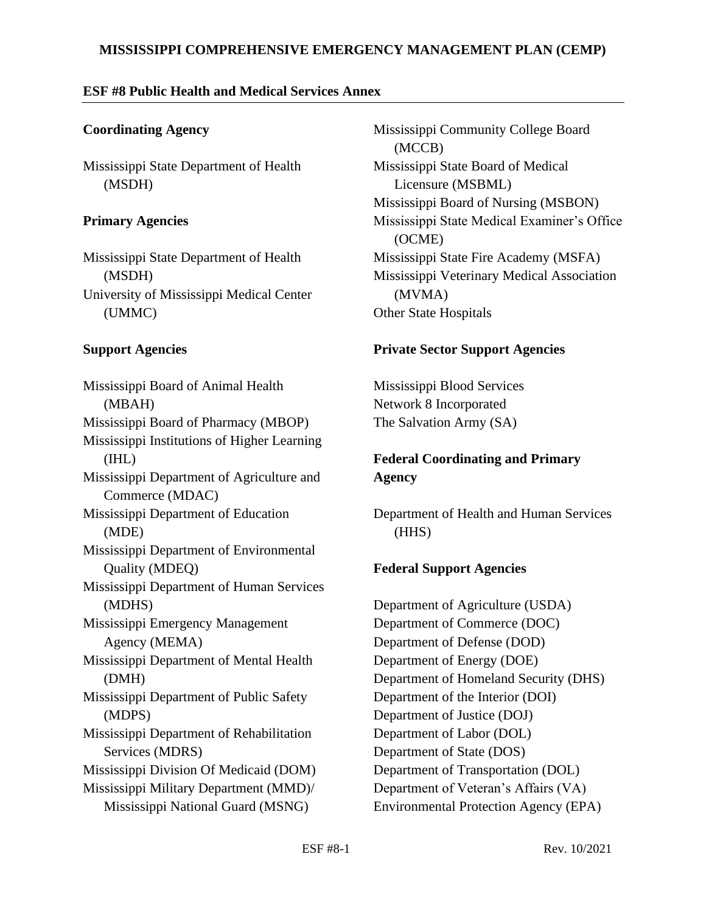### **MISSISSIPPI COMPREHENSIVE EMERGENCY MANAGEMENT PLAN (CEMP)**

### **ESF #8 Public Health and Medical Services Annex**

### **Coordinating Agency**

Mississippi State Department of Health (MSDH)

### **Primary Agencies**

Mississippi State Department of Health (MSDH) University of Mississippi Medical Center (UMMC)

### **Support Agencies**

Mississippi Board of Animal Health (MBAH) Mississippi Board of Pharmacy (MBOP) Mississippi Institutions of Higher Learning (IHL) Mississippi Department of Agriculture and Commerce (MDAC) Mississippi Department of Education (MDE) Mississippi Department of Environmental Quality (MDEQ) Mississippi Department of Human Services (MDHS) Mississippi Emergency Management Agency (MEMA) Mississippi Department of Mental Health (DMH) Mississippi Department of Public Safety (MDPS) Mississippi Department of Rehabilitation Services (MDRS) Mississippi Division Of Medicaid (DOM) Mississippi Military Department (MMD)/ Mississippi National Guard (MSNG)

Mississippi Community College Board (MCCB) Mississippi State Board of Medical Licensure (MSBML) Mississippi Board of Nursing (MSBON) Mississippi State Medical Examiner's Office (OCME) Mississippi State Fire Academy (MSFA) Mississippi Veterinary Medical Association (MVMA) Other State Hospitals

### **Private Sector Support Agencies**

Mississippi Blood Services Network 8 Incorporated The Salvation Army (SA)

# **Federal Coordinating and Primary Agency**

Department of Health and Human Services (HHS)

## **Federal Support Agencies**

Department of Agriculture (USDA) Department of Commerce (DOC) Department of Defense (DOD) Department of Energy (DOE) Department of Homeland Security (DHS) Department of the Interior (DOI) Department of Justice (DOJ) Department of Labor (DOL) Department of State (DOS) Department of Transportation (DOL) Department of Veteran's Affairs (VA) Environmental Protection Agency (EPA)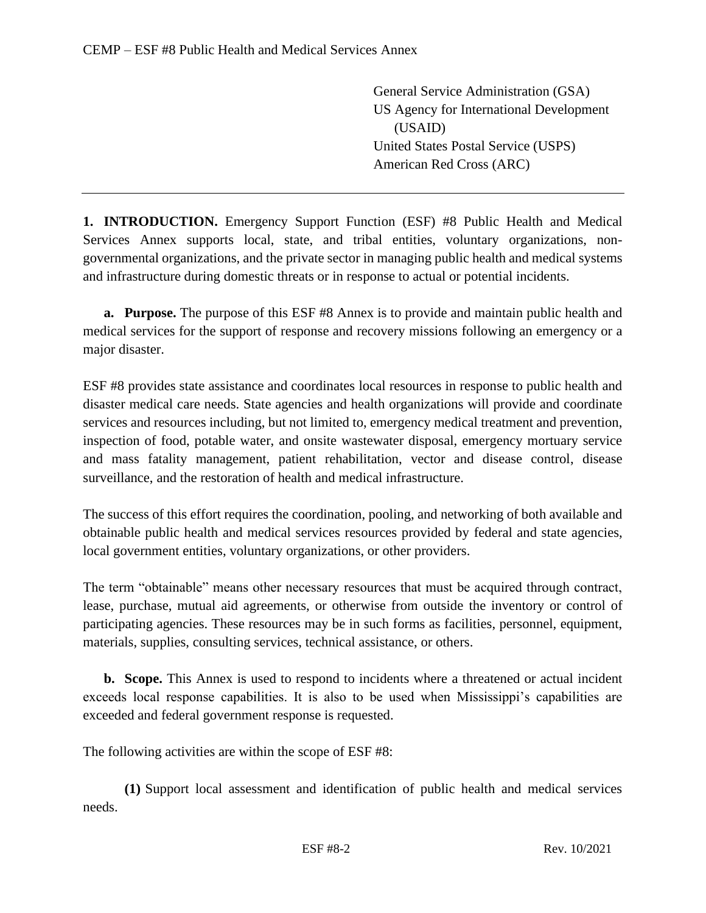General Service Administration (GSA) US Agency for International Development (USAID) United States Postal Service (USPS) American Red Cross (ARC)

**1. INTRODUCTION.** Emergency Support Function (ESF) #8 Public Health and Medical Services Annex supports local, state, and tribal entities, voluntary organizations, nongovernmental organizations, and the private sector in managing public health and medical systems and infrastructure during domestic threats or in response to actual or potential incidents.

**a. Purpose.** The purpose of this ESF #8 Annex is to provide and maintain public health and medical services for the support of response and recovery missions following an emergency or a major disaster.

ESF #8 provides state assistance and coordinates local resources in response to public health and disaster medical care needs. State agencies and health organizations will provide and coordinate services and resources including, but not limited to, emergency medical treatment and prevention, inspection of food, potable water, and onsite wastewater disposal, emergency mortuary service and mass fatality management, patient rehabilitation, vector and disease control, disease surveillance, and the restoration of health and medical infrastructure.

The success of this effort requires the coordination, pooling, and networking of both available and obtainable public health and medical services resources provided by federal and state agencies, local government entities, voluntary organizations, or other providers.

The term "obtainable" means other necessary resources that must be acquired through contract, lease, purchase, mutual aid agreements, or otherwise from outside the inventory or control of participating agencies. These resources may be in such forms as facilities, personnel, equipment, materials, supplies, consulting services, technical assistance, or others.

**b. Scope.** This Annex is used to respond to incidents where a threatened or actual incident exceeds local response capabilities. It is also to be used when Mississippi's capabilities are exceeded and federal government response is requested.

The following activities are within the scope of ESF #8:

**(1)** Support local assessment and identification of public health and medical services needs.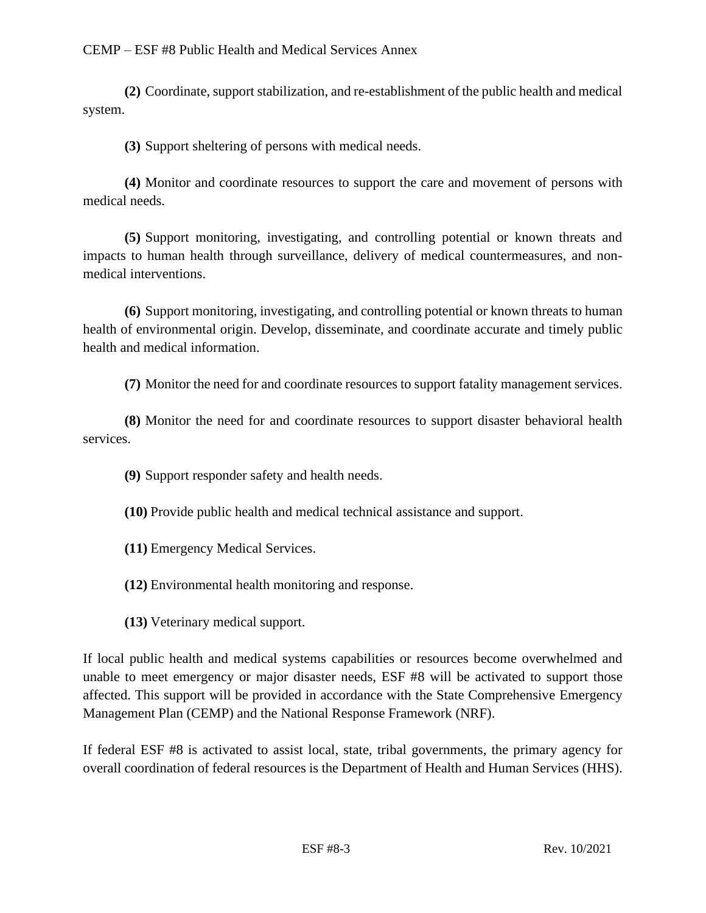**(2)** Coordinate, support stabilization, and re-establishment of the public health and medical system.

**(3)** Support sheltering of persons with medical needs.

**(4)** Monitor and coordinate resources to support the care and movement of persons with medical needs.

**(5)** Support monitoring, investigating, and controlling potential or known threats and impacts to human health through surveillance, delivery of medical countermeasures, and nonmedical interventions.

**(6)** Support monitoring, investigating, and controlling potential or known threats to human health of environmental origin. Develop, disseminate, and coordinate accurate and timely public health and medical information.

**(7)** Monitor the need for and coordinate resources to support fatality management services.

**(8)** Monitor the need for and coordinate resources to support disaster behavioral health services.

**(9)** Support responder safety and health needs.

**(10)** Provide public health and medical technical assistance and support.

- **(11)** Emergency Medical Services.
- **(12)** Environmental health monitoring and response.
- **(13)** Veterinary medical support.

If local public health and medical systems capabilities or resources become overwhelmed and unable to meet emergency or major disaster needs, ESF #8 will be activated to support those affected. This support will be provided in accordance with the State Comprehensive Emergency Management Plan (CEMP) and the National Response Framework (NRF).

If federal ESF #8 is activated to assist local, state, tribal governments, the primary agency for overall coordination of federal resources is the Department of Health and Human Services (HHS).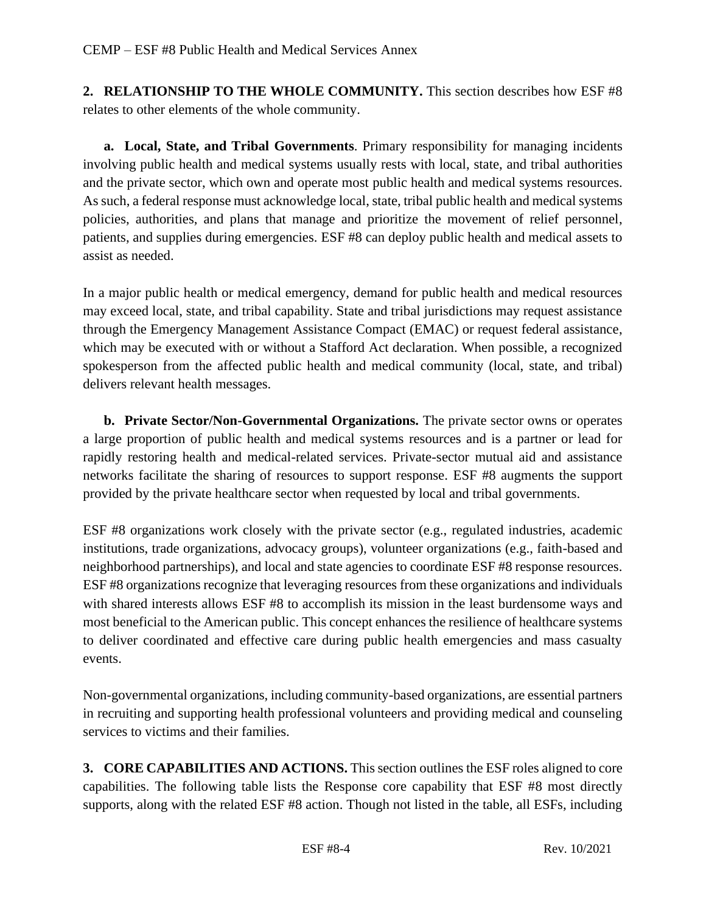**2. RELATIONSHIP TO THE WHOLE COMMUNITY.** This section describes how ESF #8 relates to other elements of the whole community.

**a. Local, State, and Tribal Governments**. Primary responsibility for managing incidents involving public health and medical systems usually rests with local, state, and tribal authorities and the private sector, which own and operate most public health and medical systems resources. As such, a federal response must acknowledge local, state, tribal public health and medical systems policies, authorities, and plans that manage and prioritize the movement of relief personnel, patients, and supplies during emergencies. ESF #8 can deploy public health and medical assets to assist as needed.

In a major public health or medical emergency, demand for public health and medical resources may exceed local, state, and tribal capability. State and tribal jurisdictions may request assistance through the Emergency Management Assistance Compact (EMAC) or request federal assistance, which may be executed with or without a Stafford Act declaration. When possible, a recognized spokesperson from the affected public health and medical community (local, state, and tribal) delivers relevant health messages.

**b. Private Sector/Non-Governmental Organizations.** The private sector owns or operates a large proportion of public health and medical systems resources and is a partner or lead for rapidly restoring health and medical-related services. Private-sector mutual aid and assistance networks facilitate the sharing of resources to support response. ESF #8 augments the support provided by the private healthcare sector when requested by local and tribal governments.

ESF #8 organizations work closely with the private sector (e.g., regulated industries, academic institutions, trade organizations, advocacy groups), volunteer organizations (e.g., faith-based and neighborhood partnerships), and local and state agencies to coordinate ESF #8 response resources. ESF #8 organizations recognize that leveraging resources from these organizations and individuals with shared interests allows ESF #8 to accomplish its mission in the least burdensome ways and most beneficial to the American public. This concept enhances the resilience of healthcare systems to deliver coordinated and effective care during public health emergencies and mass casualty events.

Non-governmental organizations, including community-based organizations, are essential partners in recruiting and supporting health professional volunteers and providing medical and counseling services to victims and their families.

**3. CORE CAPABILITIES AND ACTIONS.** This section outlines the ESF roles aligned to core capabilities. The following table lists the Response core capability that ESF #8 most directly supports, along with the related ESF #8 action. Though not listed in the table, all ESFs, including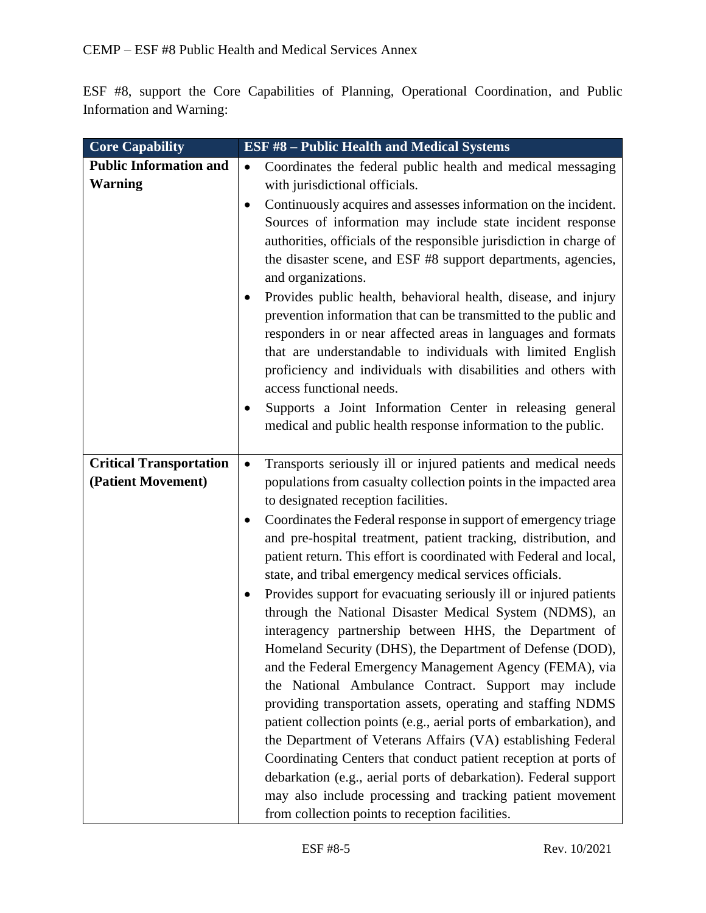ESF #8, support the Core Capabilities of Planning, Operational Coordination, and Public Information and Warning:

| <b>Core Capability</b>         | <b>ESF #8 - Public Health and Medical Systems</b>                           |
|--------------------------------|-----------------------------------------------------------------------------|
| <b>Public Information and</b>  | Coordinates the federal public health and medical messaging<br>$\bullet$    |
| <b>Warning</b>                 | with jurisdictional officials.                                              |
|                                | Continuously acquires and assesses information on the incident.<br>٠        |
|                                | Sources of information may include state incident response                  |
|                                | authorities, officials of the responsible jurisdiction in charge of         |
|                                | the disaster scene, and ESF #8 support departments, agencies,               |
|                                | and organizations.                                                          |
|                                | Provides public health, behavioral health, disease, and injury              |
|                                | prevention information that can be transmitted to the public and            |
|                                | responders in or near affected areas in languages and formats               |
|                                | that are understandable to individuals with limited English                 |
|                                | proficiency and individuals with disabilities and others with               |
|                                | access functional needs.                                                    |
|                                | Supports a Joint Information Center in releasing general                    |
|                                | medical and public health response information to the public.               |
|                                |                                                                             |
| <b>Critical Transportation</b> | Transports seriously ill or injured patients and medical needs<br>$\bullet$ |
| (Patient Movement)             | populations from casualty collection points in the impacted area            |
|                                | to designated reception facilities.                                         |
|                                | Coordinates the Federal response in support of emergency triage             |
|                                | and pre-hospital treatment, patient tracking, distribution, and             |
|                                | patient return. This effort is coordinated with Federal and local,          |
|                                | state, and tribal emergency medical services officials.                     |
|                                | Provides support for evacuating seriously ill or injured patients<br>٠      |
|                                | through the National Disaster Medical System (NDMS), an                     |
|                                | interagency partnership between HHS, the Department of                      |
|                                | Homeland Security (DHS), the Department of Defense (DOD),                   |
|                                | and the Federal Emergency Management Agency (FEMA), via                     |
|                                | the National Ambulance Contract. Support may include                        |
|                                | providing transportation assets, operating and staffing NDMS                |
|                                | patient collection points (e.g., aerial ports of embarkation), and          |
|                                | the Department of Veterans Affairs (VA) establishing Federal                |
|                                | Coordinating Centers that conduct patient reception at ports of             |
|                                | debarkation (e.g., aerial ports of debarkation). Federal support            |
|                                | may also include processing and tracking patient movement                   |
|                                | from collection points to reception facilities.                             |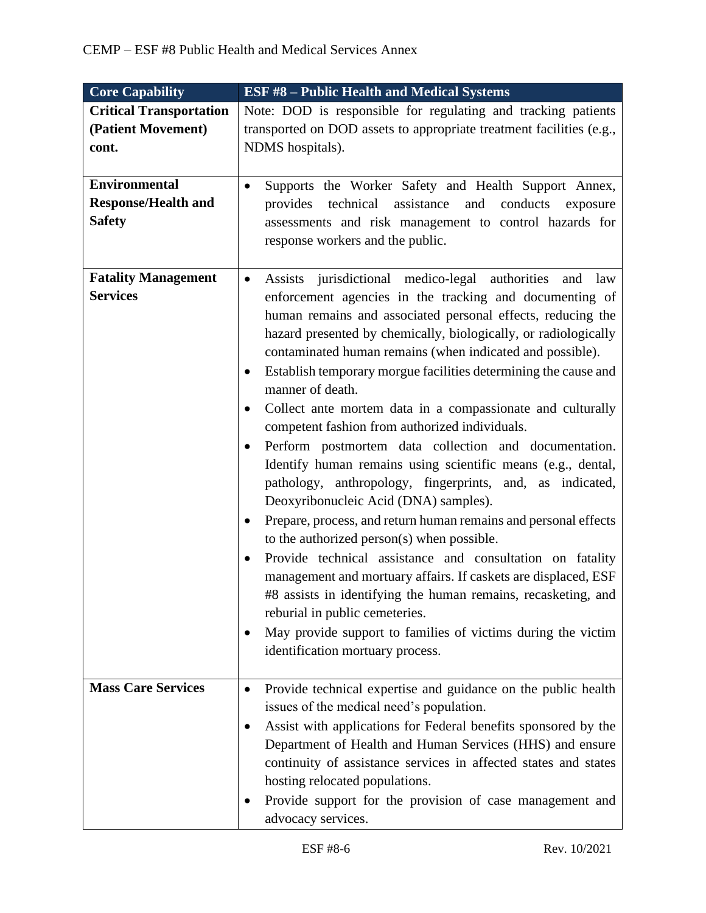| <b>Core Capability</b>         | <b>ESF #8 - Public Health and Medical Systems</b>                                                                               |
|--------------------------------|---------------------------------------------------------------------------------------------------------------------------------|
| <b>Critical Transportation</b> | Note: DOD is responsible for regulating and tracking patients                                                                   |
| (Patient Movement)             | transported on DOD assets to appropriate treatment facilities (e.g.,                                                            |
| cont.                          | NDMS hospitals).                                                                                                                |
|                                |                                                                                                                                 |
| <b>Environmental</b>           | Supports the Worker Safety and Health Support Annex,<br>$\bullet$                                                               |
| <b>Response/Health and</b>     | technical<br>assistance<br>provides<br>and<br>conducts<br>exposure                                                              |
| <b>Safety</b>                  | assessments and risk management to control hazards for                                                                          |
|                                | response workers and the public.                                                                                                |
|                                |                                                                                                                                 |
| <b>Fatality Management</b>     | Assists jurisdictional medico-legal authorities<br>and<br>law<br>$\bullet$                                                      |
| <b>Services</b>                | enforcement agencies in the tracking and documenting of                                                                         |
|                                | human remains and associated personal effects, reducing the                                                                     |
|                                | hazard presented by chemically, biologically, or radiologically                                                                 |
|                                | contaminated human remains (when indicated and possible).                                                                       |
|                                | Establish temporary morgue facilities determining the cause and                                                                 |
|                                | manner of death.                                                                                                                |
|                                | Collect ante mortem data in a compassionate and culturally                                                                      |
|                                | competent fashion from authorized individuals.                                                                                  |
|                                | Perform postmortem data collection and documentation.<br>$\bullet$                                                              |
|                                | Identify human remains using scientific means (e.g., dental,                                                                    |
|                                | pathology, anthropology, fingerprints, and, as indicated,                                                                       |
|                                | Deoxyribonucleic Acid (DNA) samples).                                                                                           |
|                                | Prepare, process, and return human remains and personal effects<br>$\bullet$                                                    |
|                                | to the authorized person(s) when possible.                                                                                      |
|                                | Provide technical assistance and consultation on fatality                                                                       |
|                                | management and mortuary affairs. If caskets are displaced, ESF                                                                  |
|                                | #8 assists in identifying the human remains, recasketing, and                                                                   |
|                                | reburial in public cemeteries.                                                                                                  |
|                                | May provide support to families of victims during the victim                                                                    |
|                                | identification mortuary process.                                                                                                |
| <b>Mass Care Services</b>      |                                                                                                                                 |
|                                | Provide technical expertise and guidance on the public health<br>٠                                                              |
|                                | issues of the medical need's population.                                                                                        |
|                                | Assist with applications for Federal benefits sponsored by the<br>٠<br>Department of Health and Human Services (HHS) and ensure |
|                                | continuity of assistance services in affected states and states                                                                 |
|                                | hosting relocated populations.                                                                                                  |
|                                | Provide support for the provision of case management and                                                                        |
|                                | advocacy services.                                                                                                              |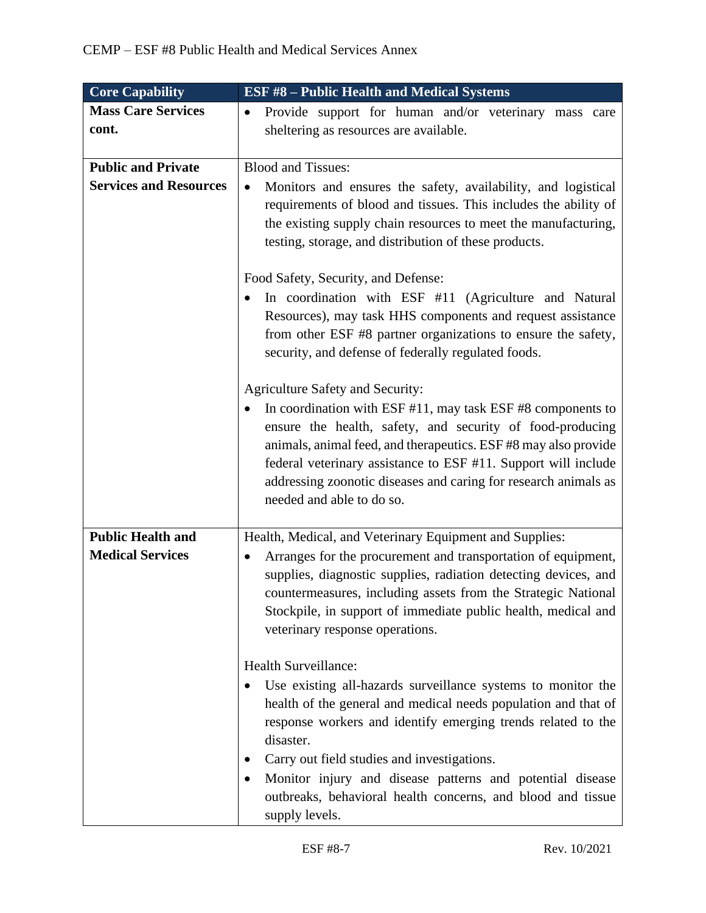| <b>Core Capability</b>        | <b>ESF #8 - Public Health and Medical Systems</b>                          |
|-------------------------------|----------------------------------------------------------------------------|
| <b>Mass Care Services</b>     | Provide support for human and/or veterinary mass care<br>٠                 |
| cont.                         | sheltering as resources are available.                                     |
|                               |                                                                            |
| <b>Public and Private</b>     | <b>Blood and Tissues:</b>                                                  |
| <b>Services and Resources</b> | Monitors and ensures the safety, availability, and logistical<br>$\bullet$ |
|                               | requirements of blood and tissues. This includes the ability of            |
|                               | the existing supply chain resources to meet the manufacturing,             |
|                               | testing, storage, and distribution of these products.                      |
|                               |                                                                            |
|                               | Food Safety, Security, and Defense:                                        |
|                               | In coordination with ESF #11 (Agriculture and Natural                      |
|                               | Resources), may task HHS components and request assistance                 |
|                               | from other ESF #8 partner organizations to ensure the safety,              |
|                               | security, and defense of federally regulated foods.                        |
|                               | <b>Agriculture Safety and Security:</b>                                    |
|                               | In coordination with ESF $#11$ , may task ESF $#8$ components to           |
|                               | ensure the health, safety, and security of food-producing                  |
|                               | animals, animal feed, and therapeutics. ESF #8 may also provide            |
|                               | federal veterinary assistance to ESF #11. Support will include             |
|                               | addressing zoonotic diseases and caring for research animals as            |
|                               | needed and able to do so.                                                  |
|                               |                                                                            |
| <b>Public Health and</b>      | Health, Medical, and Veterinary Equipment and Supplies:                    |
| <b>Medical Services</b>       | Arranges for the procurement and transportation of equipment,<br>٠         |
|                               | supplies, diagnostic supplies, radiation detecting devices, and            |
|                               | countermeasures, including assets from the Strategic National              |
|                               | Stockpile, in support of immediate public health, medical and              |
|                               | veterinary response operations.                                            |
|                               | Health Surveillance:                                                       |
|                               | Use existing all-hazards surveillance systems to monitor the               |
|                               | health of the general and medical needs population and that of             |
|                               | response workers and identify emerging trends related to the               |
|                               | disaster.                                                                  |
|                               | Carry out field studies and investigations.                                |
|                               | Monitor injury and disease patterns and potential disease                  |
|                               | outbreaks, behavioral health concerns, and blood and tissue                |
|                               | supply levels.                                                             |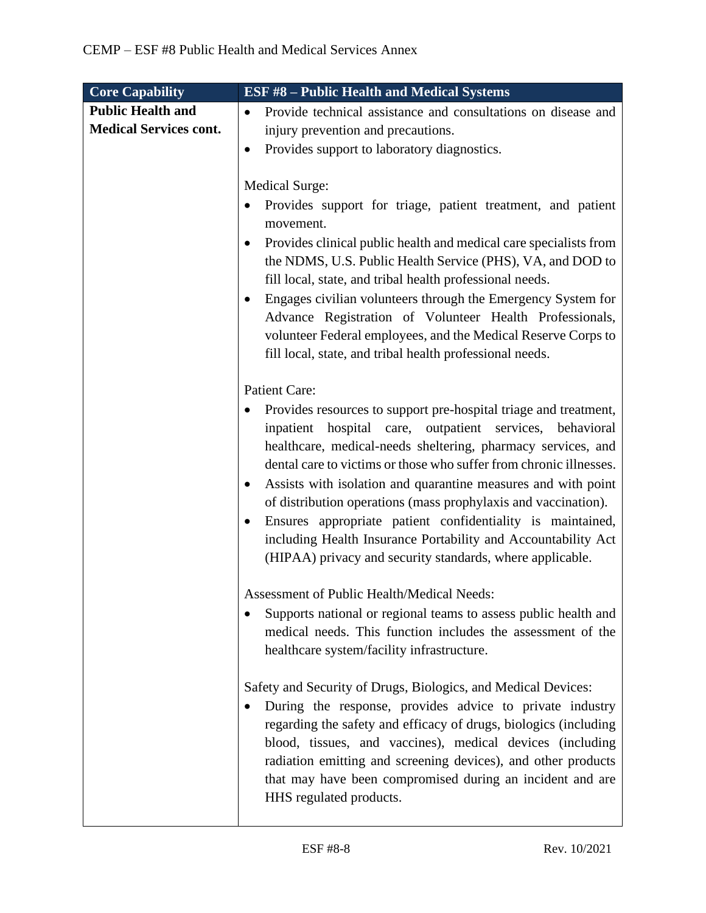| <b>Core Capability</b>        | <b>ESF #8 - Public Health and Medical Systems</b>                                                                                  |
|-------------------------------|------------------------------------------------------------------------------------------------------------------------------------|
| <b>Public Health and</b>      | Provide technical assistance and consultations on disease and<br>$\bullet$                                                         |
| <b>Medical Services cont.</b> | injury prevention and precautions.                                                                                                 |
|                               | Provides support to laboratory diagnostics.                                                                                        |
|                               |                                                                                                                                    |
|                               | <b>Medical Surge:</b>                                                                                                              |
|                               | Provides support for triage, patient treatment, and patient                                                                        |
|                               | movement.                                                                                                                          |
|                               | Provides clinical public health and medical care specialists from                                                                  |
|                               | the NDMS, U.S. Public Health Service (PHS), VA, and DOD to                                                                         |
|                               | fill local, state, and tribal health professional needs.                                                                           |
|                               | Engages civilian volunteers through the Emergency System for<br>$\bullet$                                                          |
|                               | Advance Registration of Volunteer Health Professionals,                                                                            |
|                               | volunteer Federal employees, and the Medical Reserve Corps to                                                                      |
|                               | fill local, state, and tribal health professional needs.                                                                           |
|                               |                                                                                                                                    |
|                               | <b>Patient Care:</b>                                                                                                               |
|                               | Provides resources to support pre-hospital triage and treatment,                                                                   |
|                               | inpatient hospital care, outpatient services, behavioral                                                                           |
|                               | healthcare, medical-needs sheltering, pharmacy services, and<br>dental care to victims or those who suffer from chronic illnesses. |
|                               |                                                                                                                                    |
|                               | Assists with isolation and quarantine measures and with point<br>of distribution operations (mass prophylaxis and vaccination).    |
|                               |                                                                                                                                    |
|                               | Ensures appropriate patient confidentiality is maintained,<br>including Health Insurance Portability and Accountability Act        |
|                               | (HIPAA) privacy and security standards, where applicable.                                                                          |
|                               |                                                                                                                                    |
|                               | Assessment of Public Health/Medical Needs:                                                                                         |
|                               | Supports national or regional teams to assess public health and                                                                    |
|                               | medical needs. This function includes the assessment of the                                                                        |
|                               | healthcare system/facility infrastructure.                                                                                         |
|                               |                                                                                                                                    |
|                               | Safety and Security of Drugs, Biologics, and Medical Devices:                                                                      |
|                               | During the response, provides advice to private industry                                                                           |
|                               | regarding the safety and efficacy of drugs, biologics (including                                                                   |
|                               | blood, tissues, and vaccines), medical devices (including                                                                          |
|                               | radiation emitting and screening devices), and other products                                                                      |
|                               | that may have been compromised during an incident and are                                                                          |
|                               | HHS regulated products.                                                                                                            |
|                               |                                                                                                                                    |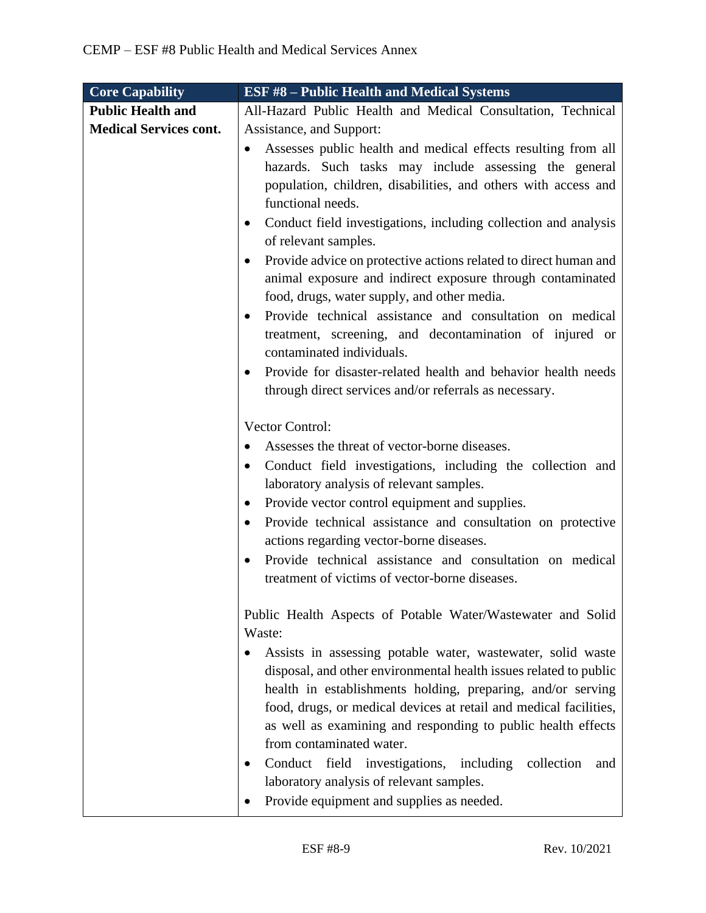| <b>Core Capability</b>        | <b>ESF #8 - Public Health and Medical Systems</b>                                                                                                                                                                                                                                                                                                                      |
|-------------------------------|------------------------------------------------------------------------------------------------------------------------------------------------------------------------------------------------------------------------------------------------------------------------------------------------------------------------------------------------------------------------|
| <b>Public Health and</b>      | All-Hazard Public Health and Medical Consultation, Technical                                                                                                                                                                                                                                                                                                           |
| <b>Medical Services cont.</b> | Assistance, and Support:                                                                                                                                                                                                                                                                                                                                               |
|                               | Assesses public health and medical effects resulting from all<br>$\bullet$<br>hazards. Such tasks may include assessing the general<br>population, children, disabilities, and others with access and<br>functional needs.<br>Conduct field investigations, including collection and analysis                                                                          |
|                               | of relevant samples.<br>Provide advice on protective actions related to direct human and<br>animal exposure and indirect exposure through contaminated<br>food, drugs, water supply, and other media.<br>Provide technical assistance and consultation on medical<br>$\bullet$<br>treatment, screening, and decontamination of injured or<br>contaminated individuals. |
|                               | Provide for disaster-related health and behavior health needs<br>through direct services and/or referrals as necessary.                                                                                                                                                                                                                                                |
|                               | Vector Control:                                                                                                                                                                                                                                                                                                                                                        |
|                               | Assesses the threat of vector-borne diseases.                                                                                                                                                                                                                                                                                                                          |
|                               | Conduct field investigations, including the collection and<br>$\bullet$<br>laboratory analysis of relevant samples.                                                                                                                                                                                                                                                    |
|                               | Provide vector control equipment and supplies.<br>$\bullet$                                                                                                                                                                                                                                                                                                            |
|                               | Provide technical assistance and consultation on protective<br>$\bullet$<br>actions regarding vector-borne diseases.                                                                                                                                                                                                                                                   |
|                               | Provide technical assistance and consultation on medical<br>treatment of victims of vector-borne diseases.                                                                                                                                                                                                                                                             |
|                               | Public Health Aspects of Potable Water/Wastewater and Solid<br>Waste:                                                                                                                                                                                                                                                                                                  |
|                               | Assists in assessing potable water, wastewater, solid waste<br>disposal, and other environmental health issues related to public<br>health in establishments holding, preparing, and/or serving<br>food, drugs, or medical devices at retail and medical facilities,<br>as well as examining and responding to public health effects<br>from contaminated water.       |
|                               | Conduct field investigations, including<br>collection<br>and<br>laboratory analysis of relevant samples.<br>Provide equipment and supplies as needed.                                                                                                                                                                                                                  |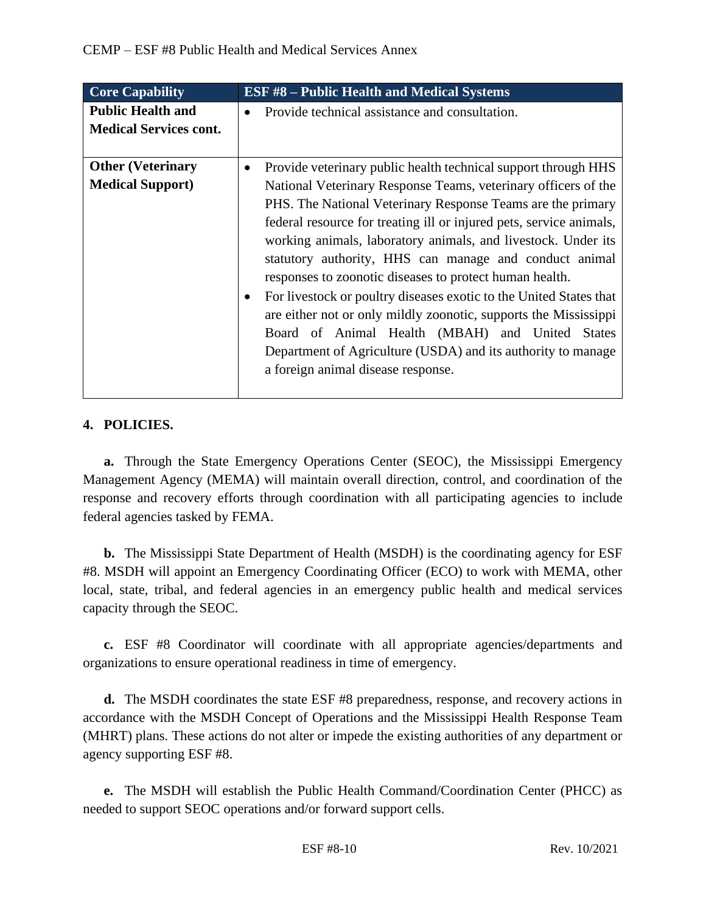| <b>Core Capability</b>                                    | <b>ESF #8 - Public Health and Medical Systems</b>                                                                                                                                                                                                                                                                                                                                                                                                                                                                                                                                                                                                                                                                                                                            |
|-----------------------------------------------------------|------------------------------------------------------------------------------------------------------------------------------------------------------------------------------------------------------------------------------------------------------------------------------------------------------------------------------------------------------------------------------------------------------------------------------------------------------------------------------------------------------------------------------------------------------------------------------------------------------------------------------------------------------------------------------------------------------------------------------------------------------------------------------|
| <b>Public Health and</b><br><b>Medical Services cont.</b> | Provide technical assistance and consultation.                                                                                                                                                                                                                                                                                                                                                                                                                                                                                                                                                                                                                                                                                                                               |
| <b>Other (Veterinary</b><br><b>Medical Support)</b>       | Provide veterinary public health technical support through HHS<br>$\bullet$<br>National Veterinary Response Teams, veterinary officers of the<br>PHS. The National Veterinary Response Teams are the primary<br>federal resource for treating ill or injured pets, service animals,<br>working animals, laboratory animals, and livestock. Under its<br>statutory authority, HHS can manage and conduct animal<br>responses to zoonotic diseases to protect human health.<br>For livestock or poultry diseases exotic to the United States that<br>are either not or only mildly zoonotic, supports the Mississippi<br>Board of Animal Health (MBAH) and United States<br>Department of Agriculture (USDA) and its authority to manage<br>a foreign animal disease response. |

# **4. POLICIES.**

**a.** Through the State Emergency Operations Center (SEOC), the Mississippi Emergency Management Agency (MEMA) will maintain overall direction, control, and coordination of the response and recovery efforts through coordination with all participating agencies to include federal agencies tasked by FEMA.

**b.** The Mississippi State Department of Health (MSDH) is the coordinating agency for ESF #8. MSDH will appoint an Emergency Coordinating Officer (ECO) to work with MEMA, other local, state, tribal, and federal agencies in an emergency public health and medical services capacity through the SEOC.

**c.** ESF #8 Coordinator will coordinate with all appropriate agencies/departments and organizations to ensure operational readiness in time of emergency.

**d.** The MSDH coordinates the state ESF #8 preparedness, response, and recovery actions in accordance with the MSDH Concept of Operations and the Mississippi Health Response Team (MHRT) plans. These actions do not alter or impede the existing authorities of any department or agency supporting ESF #8.

**e.** The MSDH will establish the Public Health Command/Coordination Center (PHCC) as needed to support SEOC operations and/or forward support cells.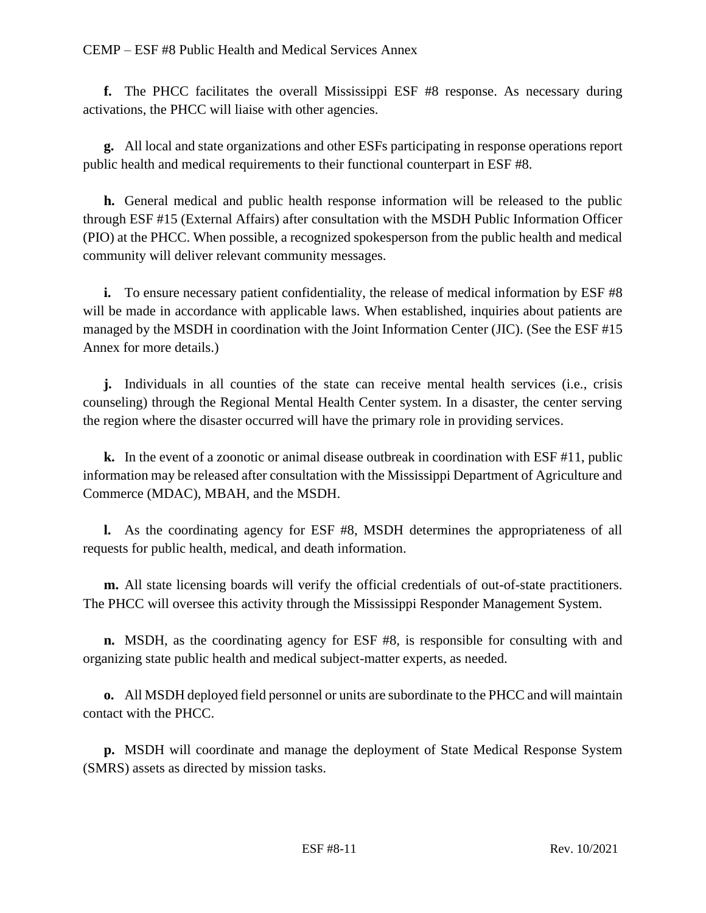**f.** The PHCC facilitates the overall Mississippi ESF #8 response. As necessary during activations, the PHCC will liaise with other agencies.

**g.** All local and state organizations and other ESFs participating in response operations report public health and medical requirements to their functional counterpart in ESF #8.

**h.** General medical and public health response information will be released to the public through ESF #15 (External Affairs) after consultation with the MSDH Public Information Officer (PIO) at the PHCC. When possible, a recognized spokesperson from the public health and medical community will deliver relevant community messages.

**i.** To ensure necessary patient confidentiality, the release of medical information by ESF #8 will be made in accordance with applicable laws. When established, inquiries about patients are managed by the MSDH in coordination with the Joint Information Center (JIC). (See the ESF #15 Annex for more details.)

**j.** Individuals in all counties of the state can receive mental health services (i.e., crisis counseling) through the Regional Mental Health Center system. In a disaster, the center serving the region where the disaster occurred will have the primary role in providing services.

**k.** In the event of a zoonotic or animal disease outbreak in coordination with ESF #11, public information may be released after consultation with the Mississippi Department of Agriculture and Commerce (MDAC), MBAH, and the MSDH.

**l.** As the coordinating agency for ESF #8, MSDH determines the appropriateness of all requests for public health, medical, and death information.

**m.** All state licensing boards will verify the official credentials of out-of-state practitioners. The PHCC will oversee this activity through the Mississippi Responder Management System.

**n.** MSDH, as the coordinating agency for ESF #8, is responsible for consulting with and organizing state public health and medical subject-matter experts, as needed.

**o.** All MSDH deployed field personnel or units are subordinate to the PHCC and will maintain contact with the PHCC.

**p.** MSDH will coordinate and manage the deployment of State Medical Response System (SMRS) assets as directed by mission tasks.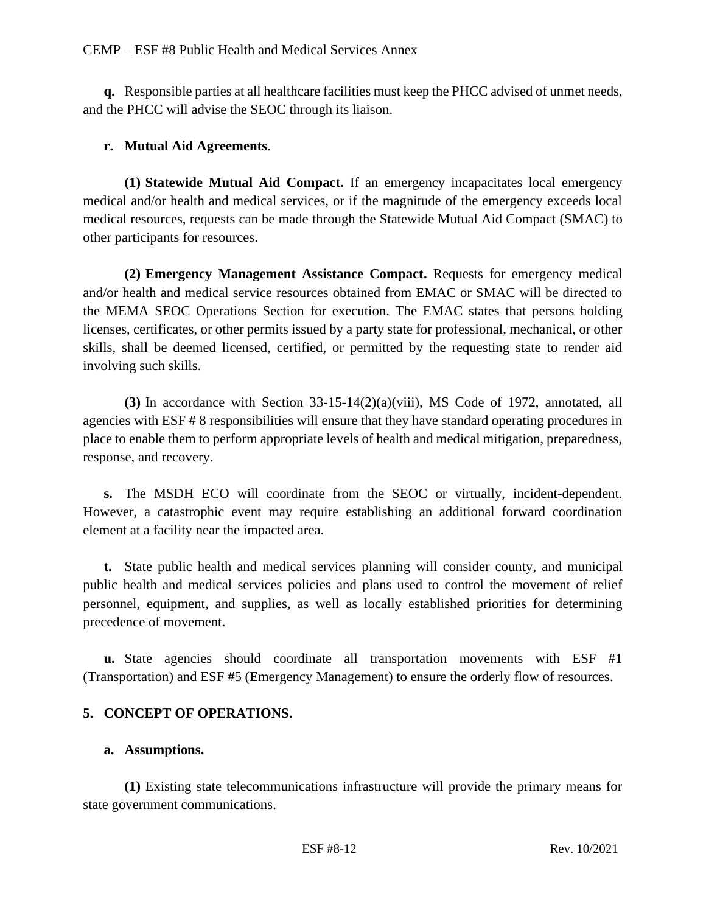**q.** Responsible parties at all healthcare facilities must keep the PHCC advised of unmet needs, and the PHCC will advise the SEOC through its liaison.

# **r. Mutual Aid Agreements**.

**(1) Statewide Mutual Aid Compact.** If an emergency incapacitates local emergency medical and/or health and medical services, or if the magnitude of the emergency exceeds local medical resources, requests can be made through the Statewide Mutual Aid Compact (SMAC) to other participants for resources.

**(2) Emergency Management Assistance Compact.** Requests for emergency medical and/or health and medical service resources obtained from EMAC or SMAC will be directed to the MEMA SEOC Operations Section for execution. The EMAC states that persons holding licenses, certificates, or other permits issued by a party state for professional, mechanical, or other skills, shall be deemed licensed, certified, or permitted by the requesting state to render aid involving such skills.

**(3)** In accordance with Section 33-15-14(2)(a)(viii), MS Code of 1972, annotated, all agencies with ESF # 8 responsibilities will ensure that they have standard operating procedures in place to enable them to perform appropriate levels of health and medical mitigation, preparedness, response, and recovery.

**s.** The MSDH ECO will coordinate from the SEOC or virtually, incident-dependent. However, a catastrophic event may require establishing an additional forward coordination element at a facility near the impacted area.

**t.** State public health and medical services planning will consider county, and municipal public health and medical services policies and plans used to control the movement of relief personnel, equipment, and supplies, as well as locally established priorities for determining precedence of movement.

**u.** State agencies should coordinate all transportation movements with ESF #1 (Transportation) and ESF #5 (Emergency Management) to ensure the orderly flow of resources.

# **5. CONCEPT OF OPERATIONS.**

## **a. Assumptions.**

**(1)** Existing state telecommunications infrastructure will provide the primary means for state government communications.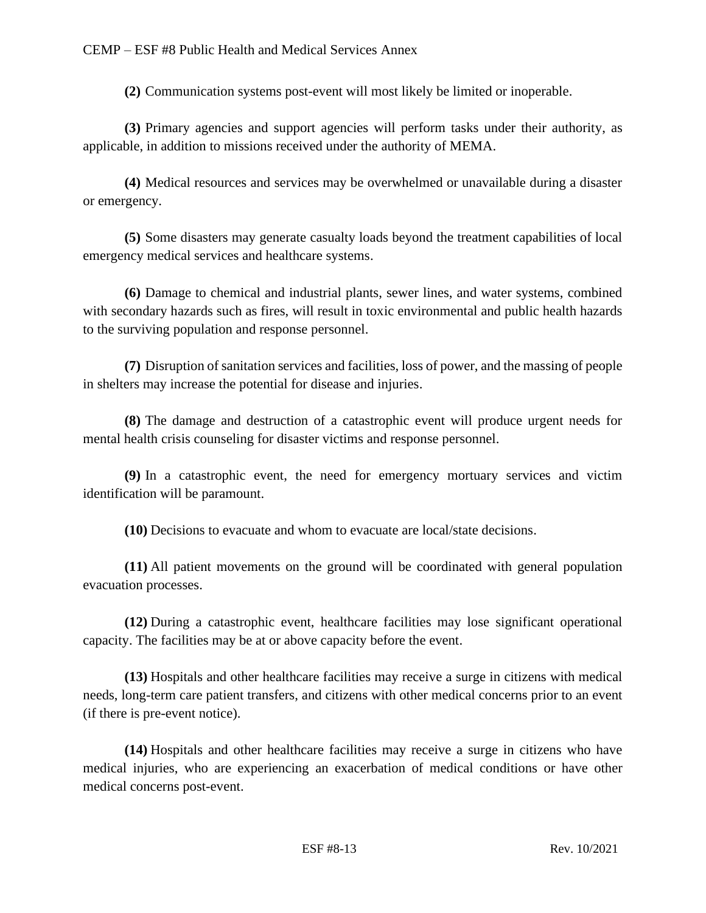**(2)** Communication systems post-event will most likely be limited or inoperable.

**(3)** Primary agencies and support agencies will perform tasks under their authority, as applicable, in addition to missions received under the authority of MEMA.

**(4)** Medical resources and services may be overwhelmed or unavailable during a disaster or emergency.

**(5)** Some disasters may generate casualty loads beyond the treatment capabilities of local emergency medical services and healthcare systems.

**(6)** Damage to chemical and industrial plants, sewer lines, and water systems, combined with secondary hazards such as fires, will result in toxic environmental and public health hazards to the surviving population and response personnel.

**(7)** Disruption of sanitation services and facilities, loss of power, and the massing of people in shelters may increase the potential for disease and injuries.

**(8)** The damage and destruction of a catastrophic event will produce urgent needs for mental health crisis counseling for disaster victims and response personnel.

**(9)** In a catastrophic event, the need for emergency mortuary services and victim identification will be paramount.

**(10)** Decisions to evacuate and whom to evacuate are local/state decisions.

**(11)** All patient movements on the ground will be coordinated with general population evacuation processes.

**(12)** During a catastrophic event, healthcare facilities may lose significant operational capacity. The facilities may be at or above capacity before the event.

**(13)** Hospitals and other healthcare facilities may receive a surge in citizens with medical needs, long-term care patient transfers, and citizens with other medical concerns prior to an event (if there is pre-event notice).

**(14)** Hospitals and other healthcare facilities may receive a surge in citizens who have medical injuries, who are experiencing an exacerbation of medical conditions or have other medical concerns post-event.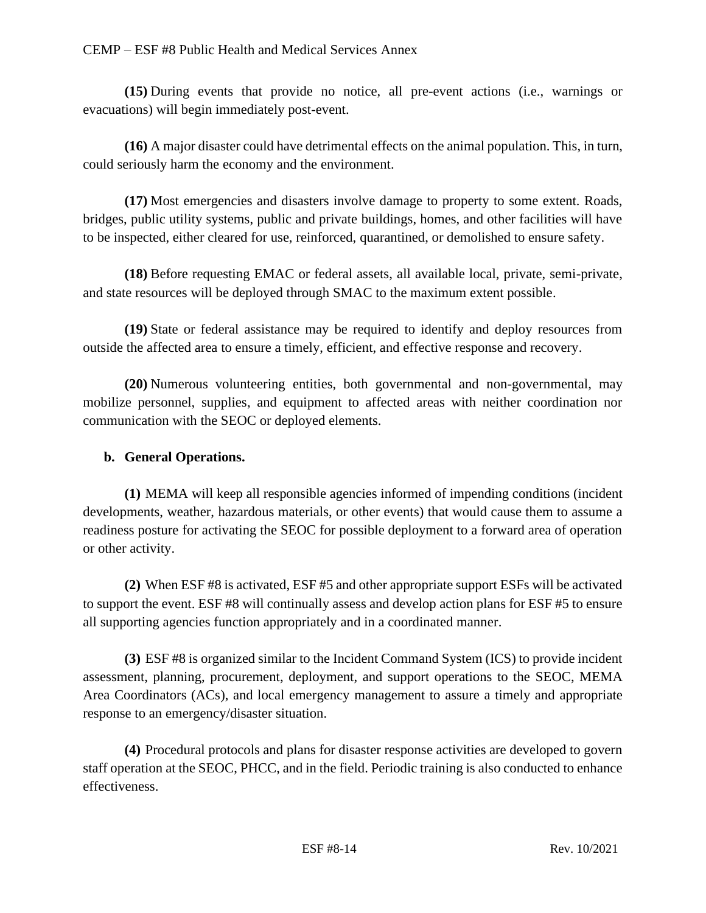**(15)** During events that provide no notice, all pre-event actions (i.e., warnings or evacuations) will begin immediately post-event.

**(16)** A major disaster could have detrimental effects on the animal population. This, in turn, could seriously harm the economy and the environment.

**(17)** Most emergencies and disasters involve damage to property to some extent. Roads, bridges, public utility systems, public and private buildings, homes, and other facilities will have to be inspected, either cleared for use, reinforced, quarantined, or demolished to ensure safety.

**(18)** Before requesting EMAC or federal assets, all available local, private, semi-private, and state resources will be deployed through SMAC to the maximum extent possible.

**(19)** State or federal assistance may be required to identify and deploy resources from outside the affected area to ensure a timely, efficient, and effective response and recovery.

**(20)** Numerous volunteering entities, both governmental and non-governmental, may mobilize personnel, supplies, and equipment to affected areas with neither coordination nor communication with the SEOC or deployed elements.

## **b. General Operations.**

**(1)** MEMA will keep all responsible agencies informed of impending conditions (incident developments, weather, hazardous materials, or other events) that would cause them to assume a readiness posture for activating the SEOC for possible deployment to a forward area of operation or other activity.

**(2)** When ESF #8 is activated, ESF #5 and other appropriate support ESFs will be activated to support the event. ESF #8 will continually assess and develop action plans for ESF #5 to ensure all supporting agencies function appropriately and in a coordinated manner.

**(3)** ESF #8 is organized similar to the Incident Command System (ICS) to provide incident assessment, planning, procurement, deployment, and support operations to the SEOC, MEMA Area Coordinators (ACs), and local emergency management to assure a timely and appropriate response to an emergency/disaster situation.

**(4)** Procedural protocols and plans for disaster response activities are developed to govern staff operation at the SEOC, PHCC, and in the field. Periodic training is also conducted to enhance effectiveness.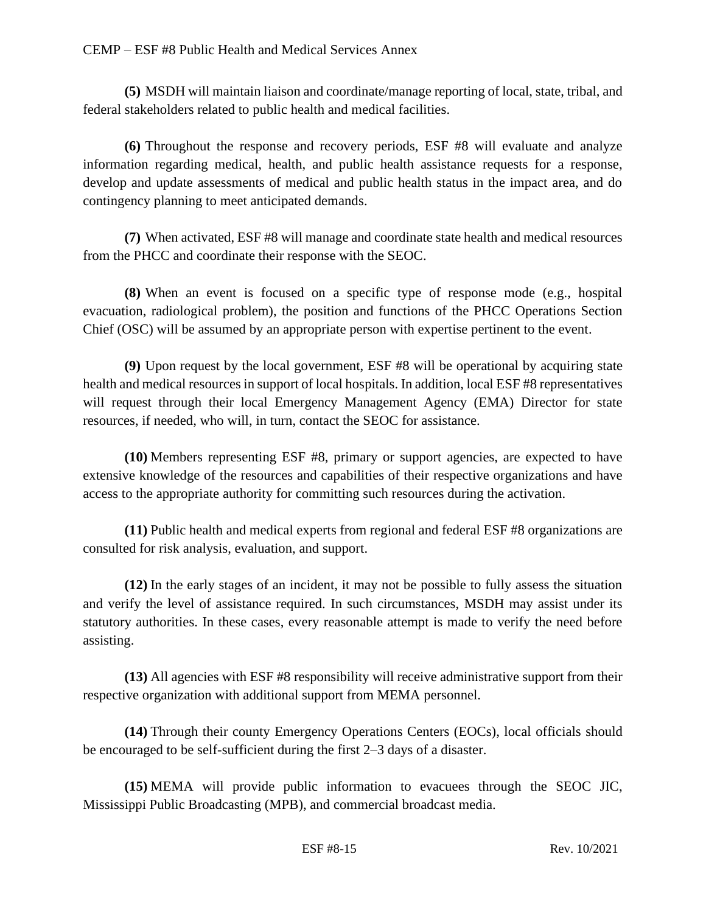**(5)** MSDH will maintain liaison and coordinate/manage reporting of local, state, tribal, and federal stakeholders related to public health and medical facilities.

**(6)** Throughout the response and recovery periods, ESF #8 will evaluate and analyze information regarding medical, health, and public health assistance requests for a response, develop and update assessments of medical and public health status in the impact area, and do contingency planning to meet anticipated demands.

**(7)** When activated, ESF #8 will manage and coordinate state health and medical resources from the PHCC and coordinate their response with the SEOC.

**(8)** When an event is focused on a specific type of response mode (e.g., hospital evacuation, radiological problem), the position and functions of the PHCC Operations Section Chief (OSC) will be assumed by an appropriate person with expertise pertinent to the event.

**(9)** Upon request by the local government, ESF #8 will be operational by acquiring state health and medical resources in support of local hospitals. In addition, local ESF #8 representatives will request through their local Emergency Management Agency (EMA) Director for state resources, if needed, who will, in turn, contact the SEOC for assistance.

**(10)** Members representing ESF #8, primary or support agencies, are expected to have extensive knowledge of the resources and capabilities of their respective organizations and have access to the appropriate authority for committing such resources during the activation.

**(11)** Public health and medical experts from regional and federal ESF #8 organizations are consulted for risk analysis, evaluation, and support.

**(12)** In the early stages of an incident, it may not be possible to fully assess the situation and verify the level of assistance required. In such circumstances, MSDH may assist under its statutory authorities. In these cases, every reasonable attempt is made to verify the need before assisting.

**(13)** All agencies with ESF #8 responsibility will receive administrative support from their respective organization with additional support from MEMA personnel.

**(14)** Through their county Emergency Operations Centers (EOCs), local officials should be encouraged to be self-sufficient during the first 2–3 days of a disaster.

**(15)** MEMA will provide public information to evacuees through the SEOC JIC, Mississippi Public Broadcasting (MPB), and commercial broadcast media.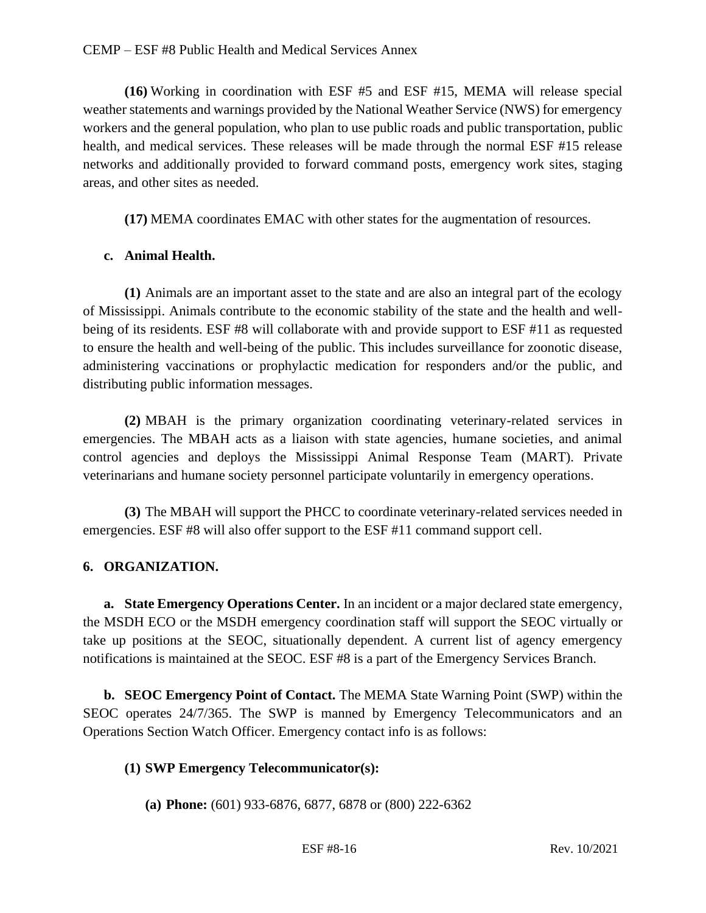**(16)** Working in coordination with ESF #5 and ESF #15, MEMA will release special weather statements and warnings provided by the National Weather Service (NWS) for emergency workers and the general population, who plan to use public roads and public transportation, public health, and medical services. These releases will be made through the normal ESF #15 release networks and additionally provided to forward command posts, emergency work sites, staging areas, and other sites as needed.

**(17)** MEMA coordinates EMAC with other states for the augmentation of resources.

## **c. Animal Health.**

**(1)** Animals are an important asset to the state and are also an integral part of the ecology of Mississippi. Animals contribute to the economic stability of the state and the health and wellbeing of its residents. ESF #8 will collaborate with and provide support to ESF #11 as requested to ensure the health and well-being of the public. This includes surveillance for zoonotic disease, administering vaccinations or prophylactic medication for responders and/or the public, and distributing public information messages.

**(2)** MBAH is the primary organization coordinating veterinary-related services in emergencies. The MBAH acts as a liaison with state agencies, humane societies, and animal control agencies and deploys the Mississippi Animal Response Team (MART). Private veterinarians and humane society personnel participate voluntarily in emergency operations.

**(3)** The MBAH will support the PHCC to coordinate veterinary-related services needed in emergencies. ESF #8 will also offer support to the ESF #11 command support cell.

# **6. ORGANIZATION.**

**a. State Emergency Operations Center.** In an incident or a major declared state emergency, the MSDH ECO or the MSDH emergency coordination staff will support the SEOC virtually or take up positions at the SEOC, situationally dependent. A current list of agency emergency notifications is maintained at the SEOC. ESF #8 is a part of the Emergency Services Branch.

**b. SEOC Emergency Point of Contact.** The MEMA State Warning Point (SWP) within the SEOC operates 24/7/365. The SWP is manned by Emergency Telecommunicators and an Operations Section Watch Officer. Emergency contact info is as follows:

# **(1) SWP Emergency Telecommunicator(s):**

**(a) Phone:** (601) 933-6876, 6877, 6878 or (800) 222-6362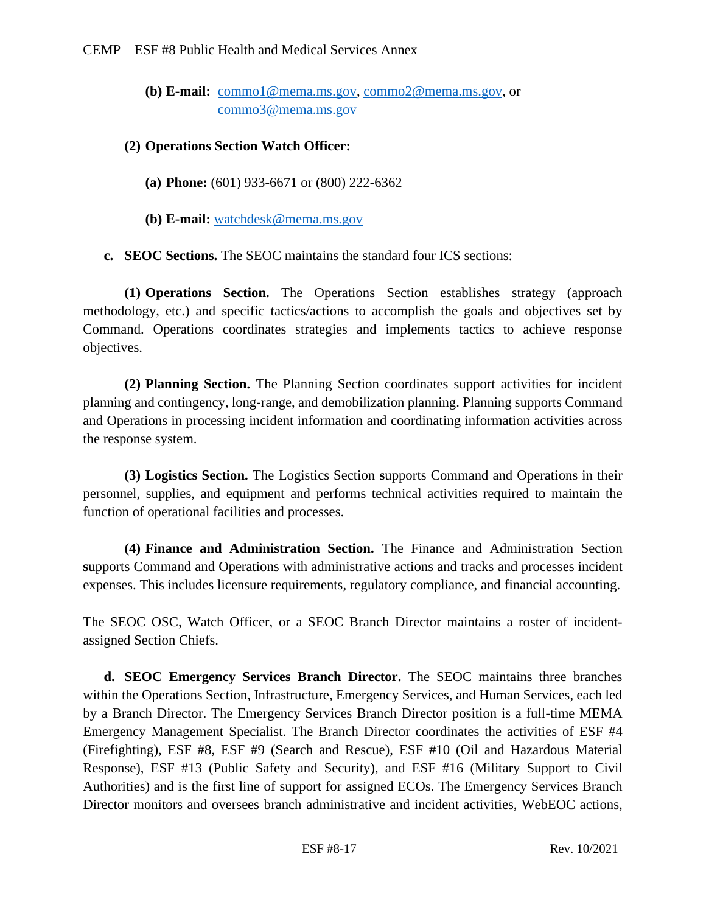**(b) E-mail:** [commo1@mema.ms.gov,](mailto:commo1@mema.ms.gov) [commo2@mema.ms.gov,](mailto:commo2@mema.ms.gov) or [commo3@mema.ms.gov](mailto:commo3@mema.ms.gov) 

## **(2) Operations Section Watch Officer:**

- **(a) Phone:** (601) 933-6671 or (800) 222-6362
- **(b) E-mail:** [watchdesk@mema.ms.gov](mailto:watchdesk@mema.ms.gov)

**c. SEOC Sections.** The SEOC maintains the standard four ICS sections:

**(1) Operations Section.** The Operations Section establishes strategy (approach methodology, etc.) and specific tactics/actions to accomplish the goals and objectives set by Command. Operations coordinates strategies and implements tactics to achieve response objectives.

**(2) Planning Section.** The Planning Section coordinates support activities for incident planning and contingency, long-range, and demobilization planning. Planning supports Command and Operations in processing incident information and coordinating information activities across the response system.

**(3) Logistics Section.** The Logistics Section **s**upports Command and Operations in their personnel, supplies, and equipment and performs technical activities required to maintain the function of operational facilities and processes.

**(4) Finance and Administration Section.** The Finance and Administration Section **s**upports Command and Operations with administrative actions and tracks and processes incident expenses. This includes licensure requirements, regulatory compliance, and financial accounting.

The SEOC OSC, Watch Officer, or a SEOC Branch Director maintains a roster of incidentassigned Section Chiefs.

**d. SEOC Emergency Services Branch Director.** The SEOC maintains three branches within the Operations Section, Infrastructure, Emergency Services, and Human Services, each led by a Branch Director. The Emergency Services Branch Director position is a full-time MEMA Emergency Management Specialist. The Branch Director coordinates the activities of ESF #4 (Firefighting), ESF #8, ESF #9 (Search and Rescue), ESF #10 (Oil and Hazardous Material Response), ESF #13 (Public Safety and Security), and ESF #16 (Military Support to Civil Authorities) and is the first line of support for assigned ECOs. The Emergency Services Branch Director monitors and oversees branch administrative and incident activities, WebEOC actions,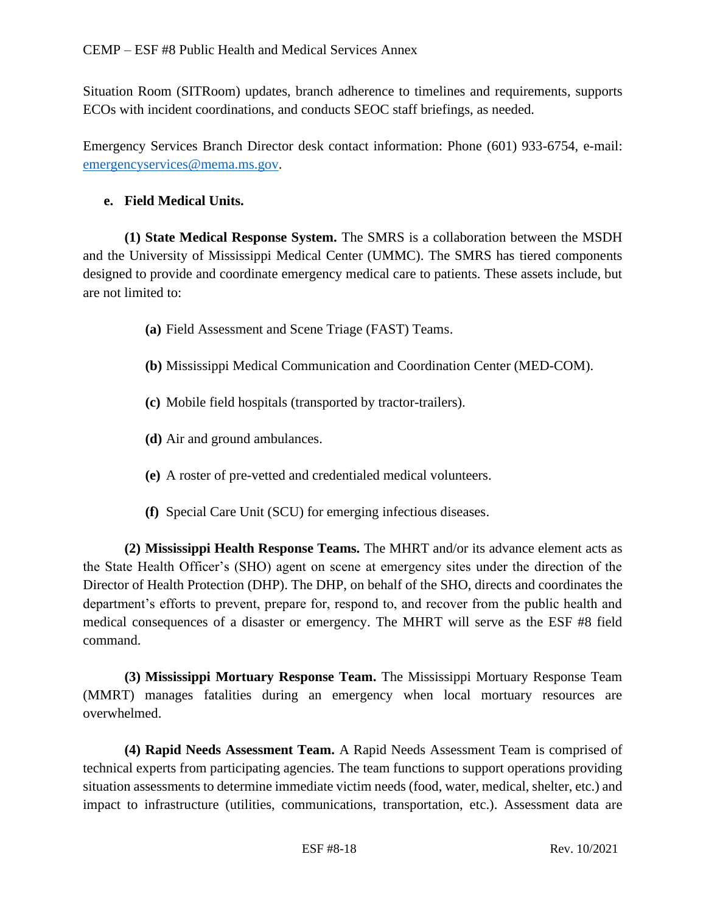Situation Room (SITRoom) updates, branch adherence to timelines and requirements, supports ECOs with incident coordinations, and conducts SEOC staff briefings, as needed.

Emergency Services Branch Director desk contact information: Phone (601) 933-6754, e-mail: [emergencyservices@mema.ms.gov.](mailto:emergencyservices@mema.ms.gov)

## **e. Field Medical Units.**

**(1) State Medical Response System.** The SMRS is a collaboration between the MSDH and the University of Mississippi Medical Center (UMMC). The SMRS has tiered components designed to provide and coordinate emergency medical care to patients. These assets include, but are not limited to:

- **(a)** Field Assessment and Scene Triage (FAST) Teams.
- **(b)** Mississippi Medical Communication and Coordination Center (MED-COM).
- **(c)** Mobile field hospitals (transported by tractor-trailers).
- **(d)** Air and ground ambulances.
- **(e)** A roster of pre-vetted and credentialed medical volunteers.
- **(f)** Special Care Unit (SCU) for emerging infectious diseases.

**(2) Mississippi Health Response Teams.** The MHRT and/or its advance element acts as the State Health Officer's (SHO) agent on scene at emergency sites under the direction of the Director of Health Protection (DHP). The DHP, on behalf of the SHO, directs and coordinates the department's efforts to prevent, prepare for, respond to, and recover from the public health and medical consequences of a disaster or emergency. The MHRT will serve as the ESF #8 field command.

**(3) Mississippi Mortuary Response Team.** The Mississippi Mortuary Response Team (MMRT) manages fatalities during an emergency when local mortuary resources are overwhelmed.

**(4) Rapid Needs Assessment Team.** A Rapid Needs Assessment Team is comprised of technical experts from participating agencies. The team functions to support operations providing situation assessments to determine immediate victim needs (food, water, medical, shelter, etc.) and impact to infrastructure (utilities, communications, transportation, etc.). Assessment data are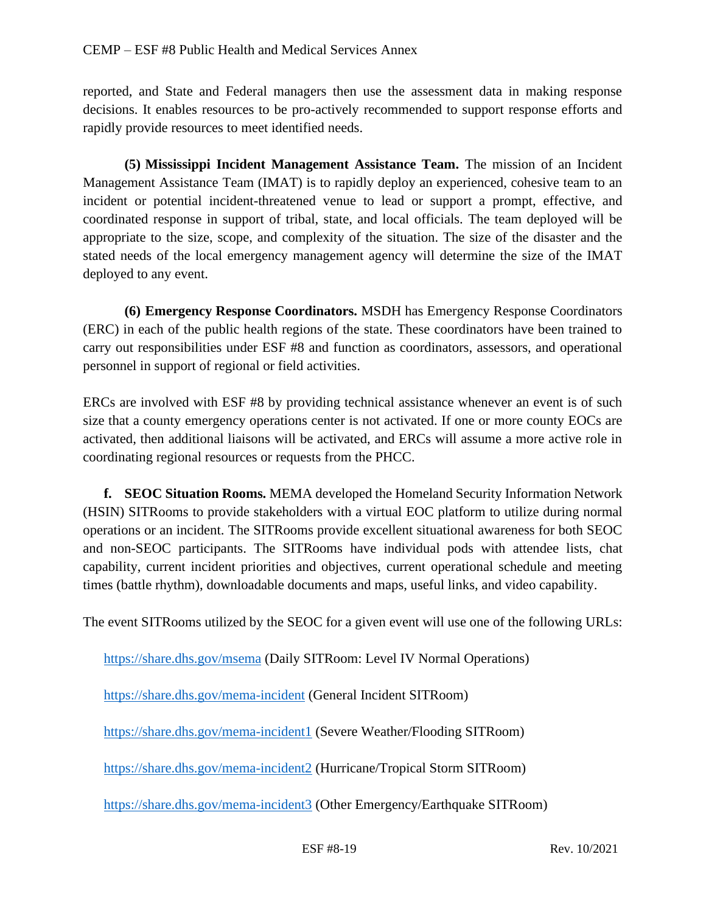reported, and State and Federal managers then use the assessment data in making response decisions. It enables resources to be pro-actively recommended to support response efforts and rapidly provide resources to meet identified needs.

**(5) Mississippi Incident Management Assistance Team.** The mission of an Incident Management Assistance Team (IMAT) is to rapidly deploy an experienced, cohesive team to an incident or potential incident-threatened venue to lead or support a prompt, effective, and coordinated response in support of tribal, state, and local officials. The team deployed will be appropriate to the size, scope, and complexity of the situation. The size of the disaster and the stated needs of the local emergency management agency will determine the size of the IMAT deployed to any event.

**(6) Emergency Response Coordinators.** MSDH has Emergency Response Coordinators (ERC) in each of the public health regions of the state. These coordinators have been trained to carry out responsibilities under ESF #8 and function as coordinators, assessors, and operational personnel in support of regional or field activities.

ERCs are involved with ESF #8 by providing technical assistance whenever an event is of such size that a county emergency operations center is not activated. If one or more county EOCs are activated, then additional liaisons will be activated, and ERCs will assume a more active role in coordinating regional resources or requests from the PHCC.

**f. SEOC Situation Rooms.** MEMA developed the Homeland Security Information Network (HSIN) SITRooms to provide stakeholders with a virtual EOC platform to utilize during normal operations or an incident. The SITRooms provide excellent situational awareness for both SEOC and non-SEOC participants. The SITRooms have individual pods with attendee lists, chat capability, current incident priorities and objectives, current operational schedule and meeting times (battle rhythm), downloadable documents and maps, useful links, and video capability.

The event SITRooms utilized by the SEOC for a given event will use one of the following URLs:

<https://share.dhs.gov/msema> (Daily SITRoom: Level IV Normal Operations)

<https://share.dhs.gov/mema-incident> (General Incident SITRoom)

<https://share.dhs.gov/mema-incident1> (Severe Weather/Flooding SITRoom)

<https://share.dhs.gov/mema-incident2> (Hurricane/Tropical Storm SITRoom)

<https://share.dhs.gov/mema-incident3> (Other Emergency/Earthquake SITRoom)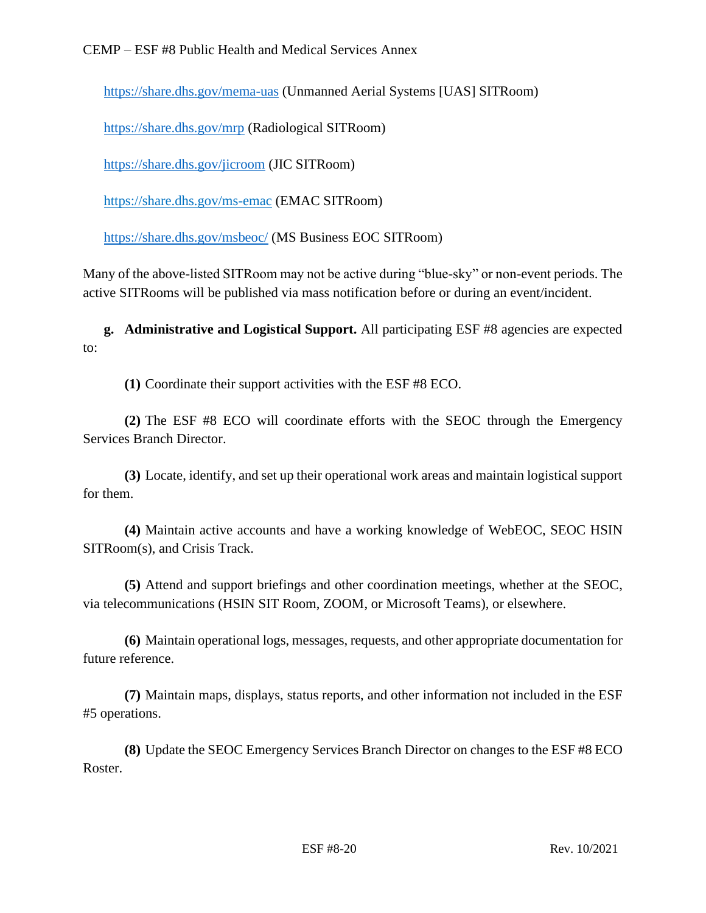<https://share.dhs.gov/mema-uas> (Unmanned Aerial Systems [UAS] SITRoom)

<https://share.dhs.gov/mrp> (Radiological SITRoom)

<https://share.dhs.gov/jicroom> (JIC SITRoom)

<https://share.dhs.gov/ms-emac> (EMAC SITRoom)

<https://share.dhs.gov/msbeoc/> (MS Business EOC SITRoom)

Many of the above-listed SITRoom may not be active during "blue-sky" or non-event periods. The active SITRooms will be published via mass notification before or during an event/incident.

**g. Administrative and Logistical Support.** All participating ESF #8 agencies are expected to:

**(1)** Coordinate their support activities with the ESF #8 ECO.

**(2)** The ESF #8 ECO will coordinate efforts with the SEOC through the Emergency Services Branch Director.

**(3)** Locate, identify, and set up their operational work areas and maintain logistical support for them.

**(4)** Maintain active accounts and have a working knowledge of WebEOC, SEOC HSIN SITRoom(s), and Crisis Track.

**(5)** Attend and support briefings and other coordination meetings, whether at the SEOC, via telecommunications (HSIN SIT Room, ZOOM, or Microsoft Teams), or elsewhere.

**(6)** Maintain operational logs, messages, requests, and other appropriate documentation for future reference.

**(7)** Maintain maps, displays, status reports, and other information not included in the ESF #5 operations.

**(8)** Update the SEOC Emergency Services Branch Director on changes to the ESF #8 ECO Roster.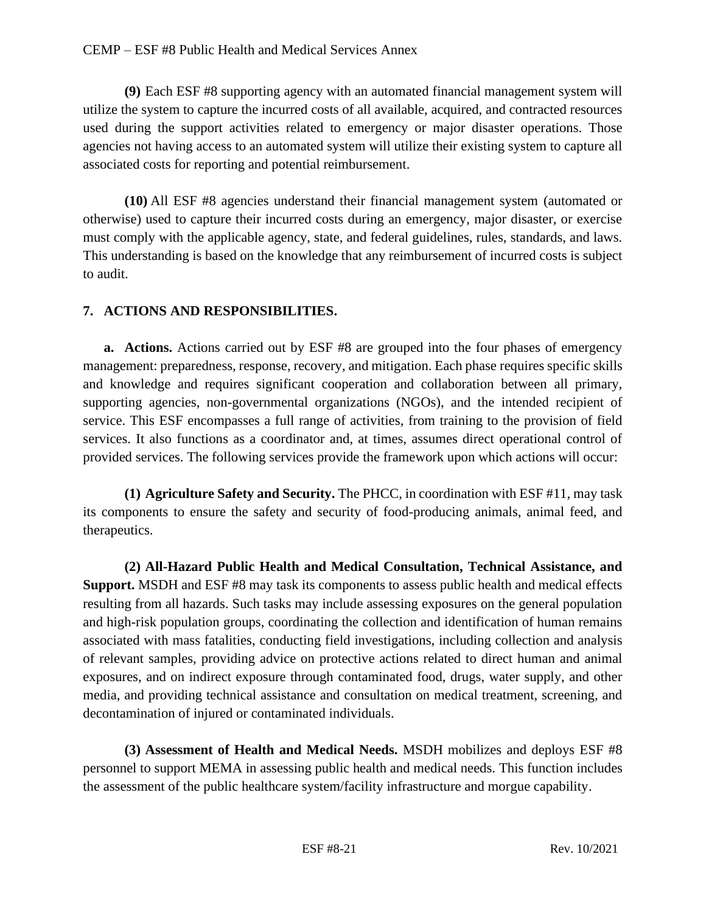**(9)** Each ESF #8 supporting agency with an automated financial management system will utilize the system to capture the incurred costs of all available, acquired, and contracted resources used during the support activities related to emergency or major disaster operations. Those agencies not having access to an automated system will utilize their existing system to capture all associated costs for reporting and potential reimbursement.

**(10)** All ESF #8 agencies understand their financial management system (automated or otherwise) used to capture their incurred costs during an emergency, major disaster, or exercise must comply with the applicable agency, state, and federal guidelines, rules, standards, and laws. This understanding is based on the knowledge that any reimbursement of incurred costs is subject to audit.

## **7. ACTIONS AND RESPONSIBILITIES.**

**a. Actions.** Actions carried out by ESF #8 are grouped into the four phases of emergency management: preparedness, response, recovery, and mitigation. Each phase requires specific skills and knowledge and requires significant cooperation and collaboration between all primary, supporting agencies, non-governmental organizations (NGOs), and the intended recipient of service. This ESF encompasses a full range of activities, from training to the provision of field services. It also functions as a coordinator and, at times, assumes direct operational control of provided services. The following services provide the framework upon which actions will occur:

**(1) Agriculture Safety and Security.** The PHCC, in coordination with ESF #11, may task its components to ensure the safety and security of food-producing animals, animal feed, and therapeutics.

**(2) All-Hazard Public Health and Medical Consultation, Technical Assistance, and Support.** MSDH and ESF #8 may task its components to assess public health and medical effects resulting from all hazards. Such tasks may include assessing exposures on the general population and high-risk population groups, coordinating the collection and identification of human remains associated with mass fatalities, conducting field investigations, including collection and analysis of relevant samples, providing advice on protective actions related to direct human and animal exposures, and on indirect exposure through contaminated food, drugs, water supply, and other media, and providing technical assistance and consultation on medical treatment, screening, and decontamination of injured or contaminated individuals.

**(3) Assessment of Health and Medical Needs.** MSDH mobilizes and deploys ESF #8 personnel to support MEMA in assessing public health and medical needs. This function includes the assessment of the public healthcare system/facility infrastructure and morgue capability.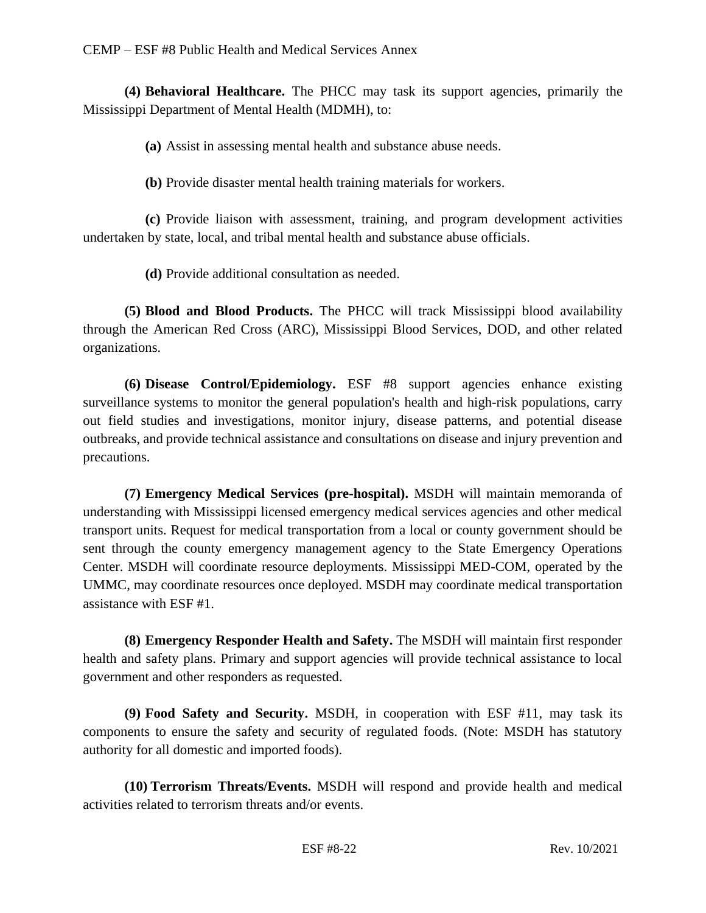**(4) Behavioral Healthcare.** The PHCC may task its support agencies, primarily the Mississippi Department of Mental Health (MDMH), to:

**(a)** Assist in assessing mental health and substance abuse needs.

**(b)** Provide disaster mental health training materials for workers.

**(c)** Provide liaison with assessment, training, and program development activities undertaken by state, local, and tribal mental health and substance abuse officials.

**(d)** Provide additional consultation as needed.

**(5) Blood and Blood Products.** The PHCC will track Mississippi blood availability through the American Red Cross (ARC), Mississippi Blood Services, DOD, and other related organizations.

**(6) Disease Control/Epidemiology.** ESF #8 support agencies enhance existing surveillance systems to monitor the general population's health and high-risk populations, carry out field studies and investigations, monitor injury, disease patterns, and potential disease outbreaks, and provide technical assistance and consultations on disease and injury prevention and precautions.

**(7) Emergency Medical Services (pre-hospital).** MSDH will maintain memoranda of understanding with Mississippi licensed emergency medical services agencies and other medical transport units. Request for medical transportation from a local or county government should be sent through the county emergency management agency to the State Emergency Operations Center. MSDH will coordinate resource deployments. Mississippi MED-COM, operated by the UMMC, may coordinate resources once deployed. MSDH may coordinate medical transportation assistance with ESF #1.

**(8) Emergency Responder Health and Safety.** The MSDH will maintain first responder health and safety plans. Primary and support agencies will provide technical assistance to local government and other responders as requested.

**(9) Food Safety and Security.** MSDH, in cooperation with ESF #11, may task its components to ensure the safety and security of regulated foods. (Note: MSDH has statutory authority for all domestic and imported foods).

**(10) Terrorism Threats/Events.** MSDH will respond and provide health and medical activities related to terrorism threats and/or events.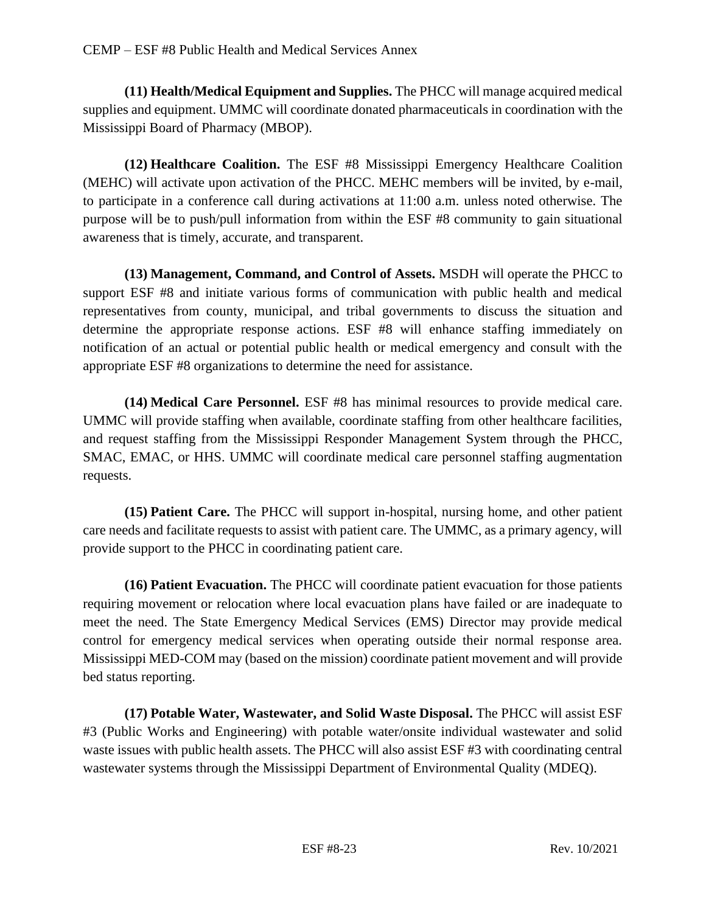**(11) Health/Medical Equipment and Supplies.** The PHCC will manage acquired medical supplies and equipment. UMMC will coordinate donated pharmaceuticals in coordination with the Mississippi Board of Pharmacy (MBOP).

**(12) Healthcare Coalition.** The ESF #8 Mississippi Emergency Healthcare Coalition (MEHC) will activate upon activation of the PHCC. MEHC members will be invited, by e-mail, to participate in a conference call during activations at 11:00 a.m. unless noted otherwise. The purpose will be to push/pull information from within the ESF #8 community to gain situational awareness that is timely, accurate, and transparent.

**(13) Management, Command, and Control of Assets.** MSDH will operate the PHCC to support ESF #8 and initiate various forms of communication with public health and medical representatives from county, municipal, and tribal governments to discuss the situation and determine the appropriate response actions. ESF #8 will enhance staffing immediately on notification of an actual or potential public health or medical emergency and consult with the appropriate ESF #8 organizations to determine the need for assistance.

**(14) Medical Care Personnel.** ESF #8 has minimal resources to provide medical care. UMMC will provide staffing when available, coordinate staffing from other healthcare facilities, and request staffing from the Mississippi Responder Management System through the PHCC, SMAC, EMAC, or HHS. UMMC will coordinate medical care personnel staffing augmentation requests.

**(15) Patient Care.** The PHCC will support in-hospital, nursing home, and other patient care needs and facilitate requests to assist with patient care. The UMMC, as a primary agency, will provide support to the PHCC in coordinating patient care.

**(16) Patient Evacuation.** The PHCC will coordinate patient evacuation for those patients requiring movement or relocation where local evacuation plans have failed or are inadequate to meet the need. The State Emergency Medical Services (EMS) Director may provide medical control for emergency medical services when operating outside their normal response area. Mississippi MED-COM may (based on the mission) coordinate patient movement and will provide bed status reporting.

**(17) Potable Water, Wastewater, and Solid Waste Disposal.** The PHCC will assist ESF #3 (Public Works and Engineering) with potable water/onsite individual wastewater and solid waste issues with public health assets. The PHCC will also assist ESF #3 with coordinating central wastewater systems through the Mississippi Department of Environmental Quality (MDEQ).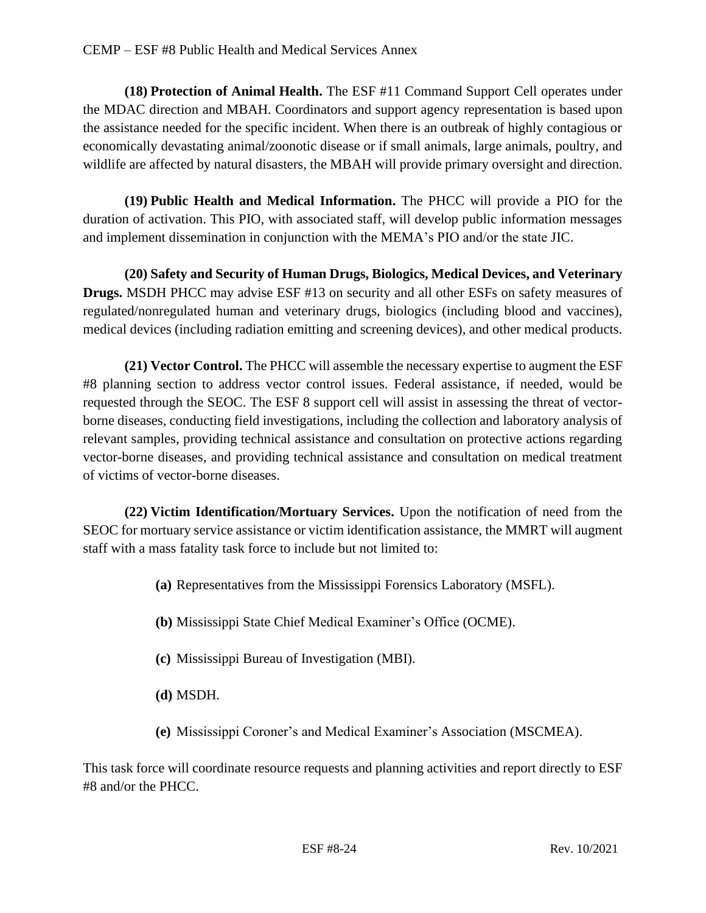**(18) Protection of Animal Health.** The ESF #11 Command Support Cell operates under the MDAC direction and MBAH. Coordinators and support agency representation is based upon the assistance needed for the specific incident. When there is an outbreak of highly contagious or economically devastating animal/zoonotic disease or if small animals, large animals, poultry, and wildlife are affected by natural disasters, the MBAH will provide primary oversight and direction.

**(19) Public Health and Medical Information.** The PHCC will provide a PIO for the duration of activation. This PIO, with associated staff, will develop public information messages and implement dissemination in conjunction with the MEMA's PIO and/or the state JIC.

**(20) Safety and Security of Human Drugs, Biologics, Medical Devices, and Veterinary Drugs.** MSDH PHCC may advise ESF #13 on security and all other ESFs on safety measures of regulated/nonregulated human and veterinary drugs, biologics (including blood and vaccines), medical devices (including radiation emitting and screening devices), and other medical products.

**(21) Vector Control.** The PHCC will assemble the necessary expertise to augment the ESF #8 planning section to address vector control issues. Federal assistance, if needed, would be requested through the SEOC. The ESF 8 support cell will assist in assessing the threat of vectorborne diseases, conducting field investigations, including the collection and laboratory analysis of relevant samples, providing technical assistance and consultation on protective actions regarding vector-borne diseases, and providing technical assistance and consultation on medical treatment of victims of vector-borne diseases.

**(22) Victim Identification/Mortuary Services.** Upon the notification of need from the SEOC for mortuary service assistance or victim identification assistance, the MMRT will augment staff with a mass fatality task force to include but not limited to:

- **(a)** Representatives from the Mississippi Forensics Laboratory (MSFL).
- **(b)** Mississippi State Chief Medical Examiner's Office (OCME).
- **(c)** Mississippi Bureau of Investigation (MBI).
- **(d)** MSDH.
- **(e)** Mississippi Coroner's and Medical Examiner's Association (MSCMEA).

This task force will coordinate resource requests and planning activities and report directly to ESF #8 and/or the PHCC.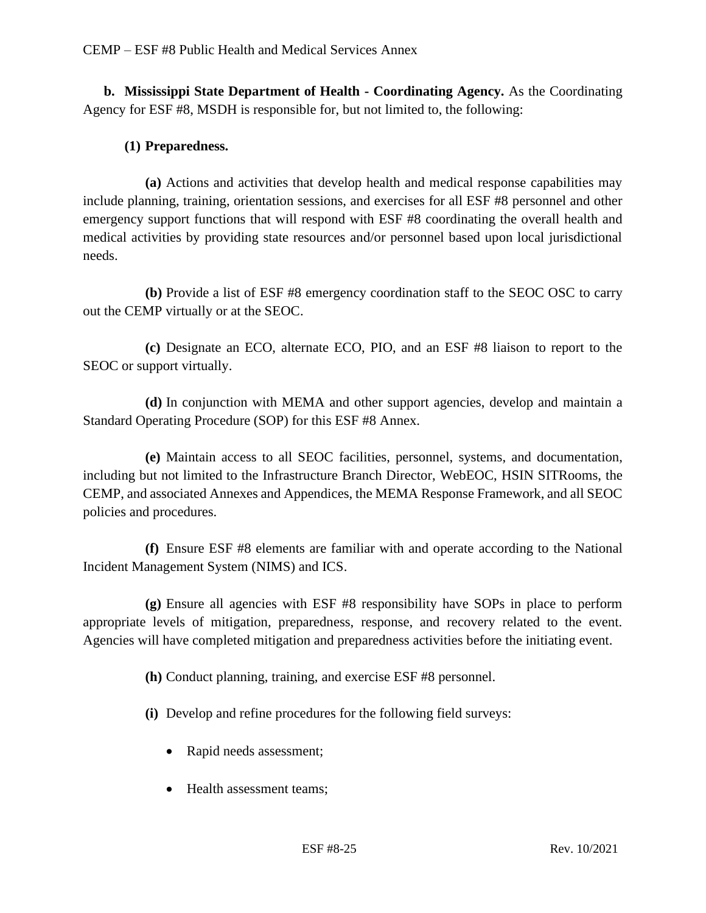**b. Mississippi State Department of Health - Coordinating Agency.** As the Coordinating Agency for ESF #8, MSDH is responsible for, but not limited to, the following:

# **(1) Preparedness.**

**(a)** Actions and activities that develop health and medical response capabilities may include planning, training, orientation sessions, and exercises for all ESF #8 personnel and other emergency support functions that will respond with ESF #8 coordinating the overall health and medical activities by providing state resources and/or personnel based upon local jurisdictional needs.

**(b)** Provide a list of ESF #8 emergency coordination staff to the SEOC OSC to carry out the CEMP virtually or at the SEOC.

**(c)** Designate an ECO, alternate ECO, PIO, and an ESF #8 liaison to report to the SEOC or support virtually.

**(d)** In conjunction with MEMA and other support agencies, develop and maintain a Standard Operating Procedure (SOP) for this ESF #8 Annex.

**(e)** Maintain access to all SEOC facilities, personnel, systems, and documentation, including but not limited to the Infrastructure Branch Director, WebEOC, HSIN SITRooms, the CEMP, and associated Annexes and Appendices, the MEMA Response Framework, and all SEOC policies and procedures.

**(f)** Ensure ESF #8 elements are familiar with and operate according to the National Incident Management System (NIMS) and ICS.

**(g)** Ensure all agencies with ESF #8 responsibility have SOPs in place to perform appropriate levels of mitigation, preparedness, response, and recovery related to the event. Agencies will have completed mitigation and preparedness activities before the initiating event.

**(h)** Conduct planning, training, and exercise ESF #8 personnel.

**(i)** Develop and refine procedures for the following field surveys:

- Rapid needs assessment;
- Health assessment teams: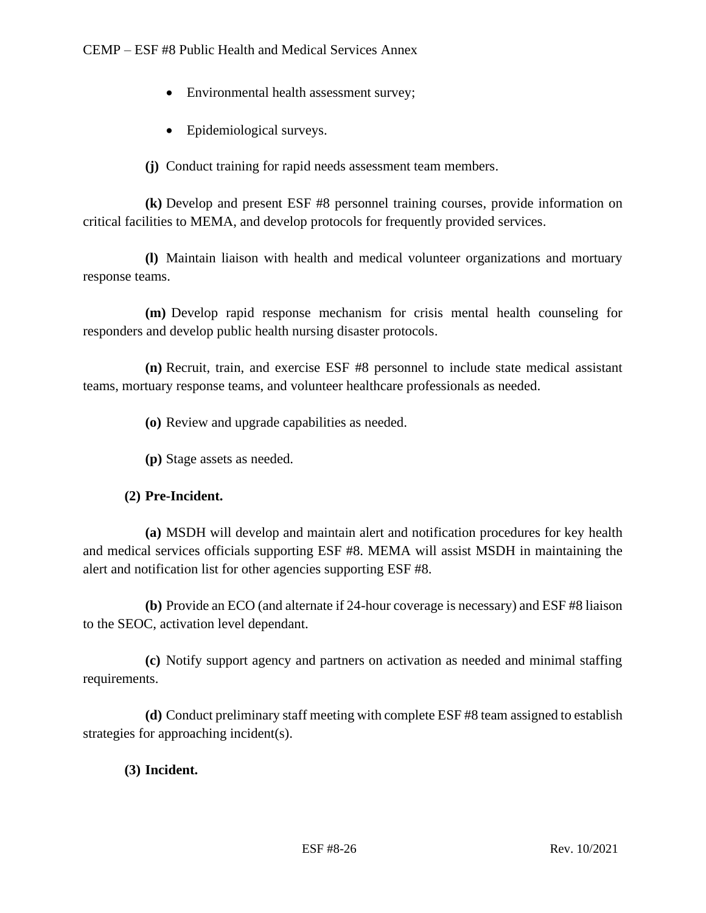- Environmental health assessment survey;
- Epidemiological surveys.

**(j)** Conduct training for rapid needs assessment team members.

**(k)** Develop and present ESF #8 personnel training courses, provide information on critical facilities to MEMA, and develop protocols for frequently provided services.

**(l)** Maintain liaison with health and medical volunteer organizations and mortuary response teams.

**(m)** Develop rapid response mechanism for crisis mental health counseling for responders and develop public health nursing disaster protocols.

**(n)** Recruit, train, and exercise ESF #8 personnel to include state medical assistant teams, mortuary response teams, and volunteer healthcare professionals as needed.

**(o)** Review and upgrade capabilities as needed.

**(p)** Stage assets as needed.

## **(2) Pre-Incident.**

**(a)** MSDH will develop and maintain alert and notification procedures for key health and medical services officials supporting ESF #8. MEMA will assist MSDH in maintaining the alert and notification list for other agencies supporting ESF #8.

**(b)** Provide an ECO (and alternate if 24-hour coverage is necessary) and ESF #8 liaison to the SEOC, activation level dependant.

**(c)** Notify support agency and partners on activation as needed and minimal staffing requirements.

**(d)** Conduct preliminary staff meeting with complete ESF #8 team assigned to establish strategies for approaching incident(s).

# **(3) Incident.**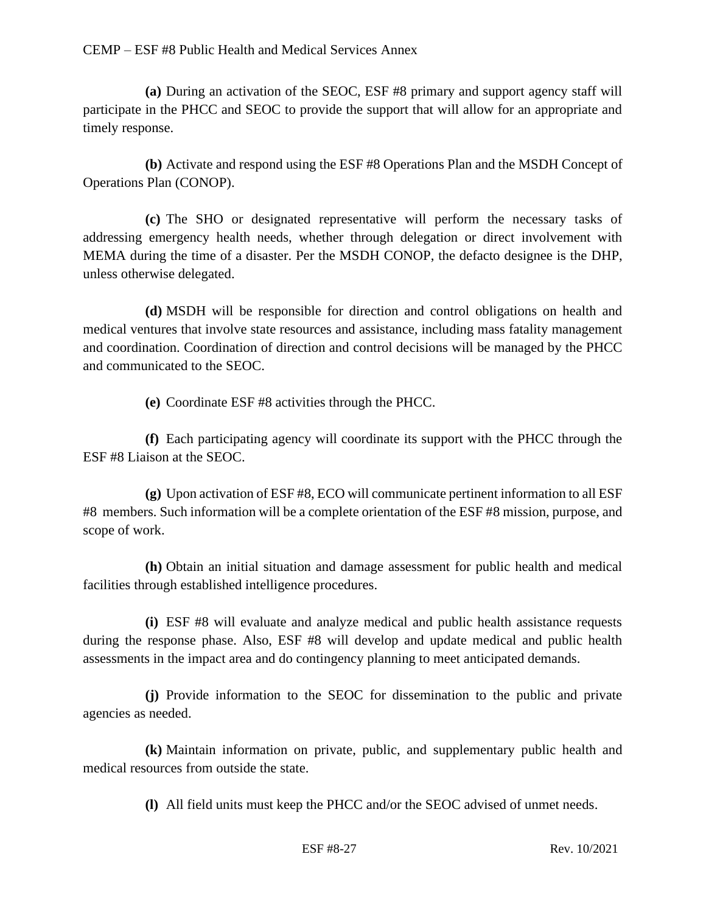**(a)** During an activation of the SEOC, ESF #8 primary and support agency staff will participate in the PHCC and SEOC to provide the support that will allow for an appropriate and timely response.

**(b)** Activate and respond using the ESF #8 Operations Plan and the MSDH Concept of Operations Plan (CONOP).

**(c)** The SHO or designated representative will perform the necessary tasks of addressing emergency health needs, whether through delegation or direct involvement with MEMA during the time of a disaster. Per the MSDH CONOP, the defacto designee is the DHP, unless otherwise delegated.

**(d)** MSDH will be responsible for direction and control obligations on health and medical ventures that involve state resources and assistance, including mass fatality management and coordination. Coordination of direction and control decisions will be managed by the PHCC and communicated to the SEOC.

**(e)** Coordinate ESF #8 activities through the PHCC.

**(f)** Each participating agency will coordinate its support with the PHCC through the ESF #8 Liaison at the SEOC.

**(g)** Upon activation of ESF #8, ECO will communicate pertinent information to all ESF #8 members. Such information will be a complete orientation of the ESF #8 mission, purpose, and scope of work.

**(h)** Obtain an initial situation and damage assessment for public health and medical facilities through established intelligence procedures.

**(i)** ESF #8 will evaluate and analyze medical and public health assistance requests during the response phase. Also, ESF #8 will develop and update medical and public health assessments in the impact area and do contingency planning to meet anticipated demands.

**(j)** Provide information to the SEOC for dissemination to the public and private agencies as needed.

**(k)** Maintain information on private, public, and supplementary public health and medical resources from outside the state.

**(l)** All field units must keep the PHCC and/or the SEOC advised of unmet needs.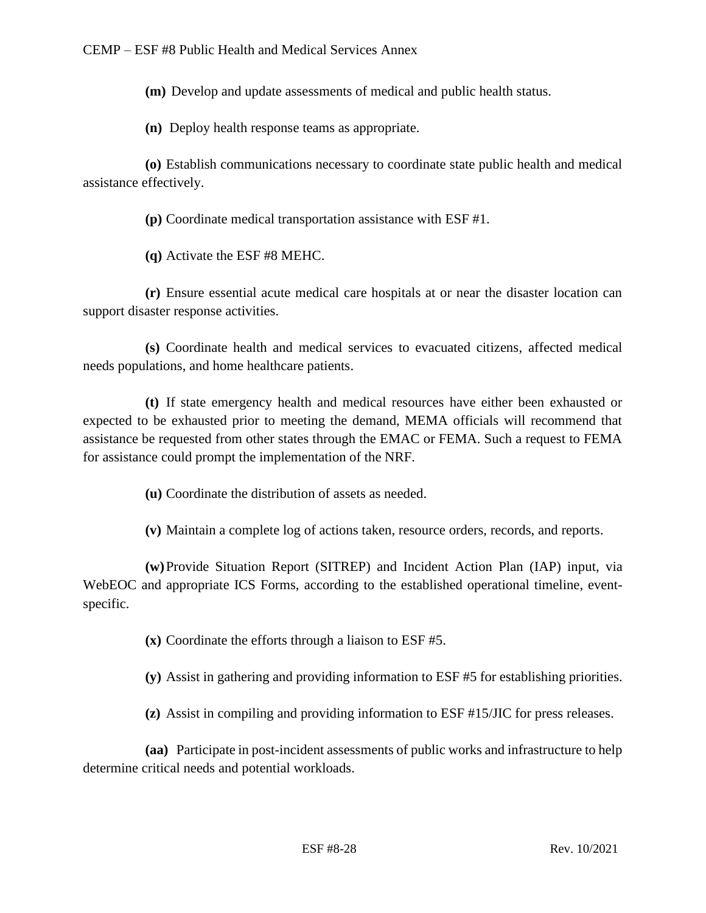**(m)** Develop and update assessments of medical and public health status.

**(n)** Deploy health response teams as appropriate.

**(o)** Establish communications necessary to coordinate state public health and medical assistance effectively.

**(p)** Coordinate medical transportation assistance with ESF #1.

**(q)** Activate the ESF #8 MEHC.

**(r)** Ensure essential acute medical care hospitals at or near the disaster location can support disaster response activities.

**(s)** Coordinate health and medical services to evacuated citizens, affected medical needs populations, and home healthcare patients.

**(t)** If state emergency health and medical resources have either been exhausted or expected to be exhausted prior to meeting the demand, MEMA officials will recommend that assistance be requested from other states through the EMAC or FEMA. Such a request to FEMA for assistance could prompt the implementation of the NRF.

**(u)** Coordinate the distribution of assets as needed.

**(v)** Maintain a complete log of actions taken, resource orders, records, and reports.

**(w)**Provide Situation Report (SITREP) and Incident Action Plan (IAP) input, via WebEOC and appropriate ICS Forms, according to the established operational timeline, eventspecific.

**(x)** Coordinate the efforts through a liaison to ESF #5.

**(y)** Assist in gathering and providing information to ESF #5 for establishing priorities.

**(z)** Assist in compiling and providing information to ESF #15/JIC for press releases.

**(aa)** Participate in post-incident assessments of public works and infrastructure to help determine critical needs and potential workloads.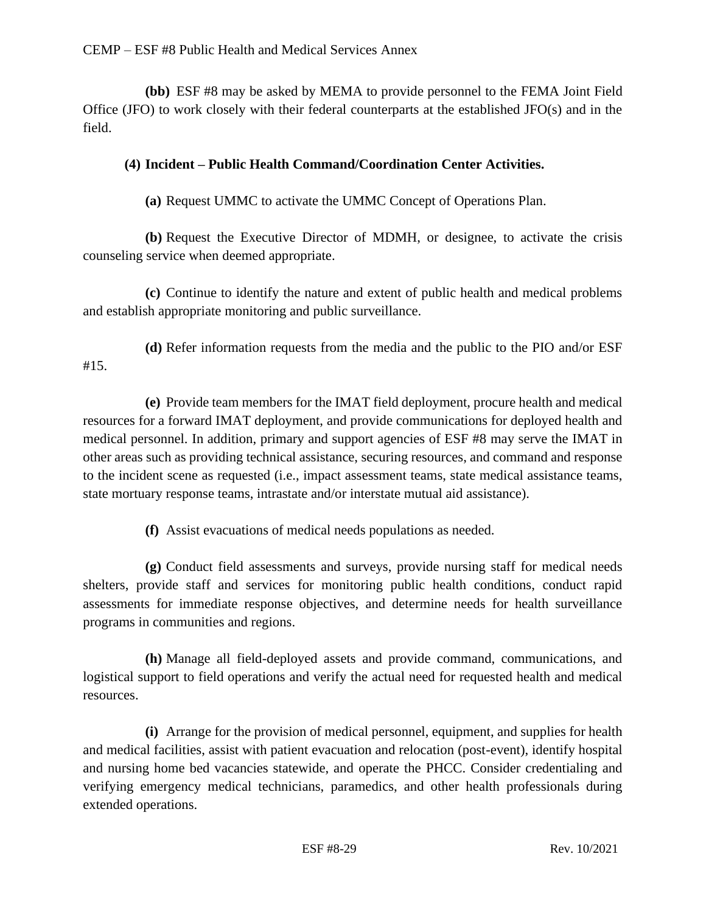**(bb)** ESF #8 may be asked by MEMA to provide personnel to the FEMA Joint Field Office (JFO) to work closely with their federal counterparts at the established JFO(s) and in the field.

## **(4) Incident – Public Health Command/Coordination Center Activities.**

**(a)** Request UMMC to activate the UMMC Concept of Operations Plan.

**(b)** Request the Executive Director of MDMH, or designee, to activate the crisis counseling service when deemed appropriate.

**(c)** Continue to identify the nature and extent of public health and medical problems and establish appropriate monitoring and public surveillance.

**(d)** Refer information requests from the media and the public to the PIO and/or ESF #15.

**(e)** Provide team members for the IMAT field deployment, procure health and medical resources for a forward IMAT deployment, and provide communications for deployed health and medical personnel. In addition, primary and support agencies of ESF #8 may serve the IMAT in other areas such as providing technical assistance, securing resources, and command and response to the incident scene as requested (i.e., impact assessment teams, state medical assistance teams, state mortuary response teams, intrastate and/or interstate mutual aid assistance).

**(f)** Assist evacuations of medical needs populations as needed.

**(g)** Conduct field assessments and surveys, provide nursing staff for medical needs shelters, provide staff and services for monitoring public health conditions, conduct rapid assessments for immediate response objectives, and determine needs for health surveillance programs in communities and regions.

**(h)** Manage all field-deployed assets and provide command, communications, and logistical support to field operations and verify the actual need for requested health and medical resources.

**(i)** Arrange for the provision of medical personnel, equipment, and supplies for health and medical facilities, assist with patient evacuation and relocation (post-event), identify hospital and nursing home bed vacancies statewide, and operate the PHCC. Consider credentialing and verifying emergency medical technicians, paramedics, and other health professionals during extended operations.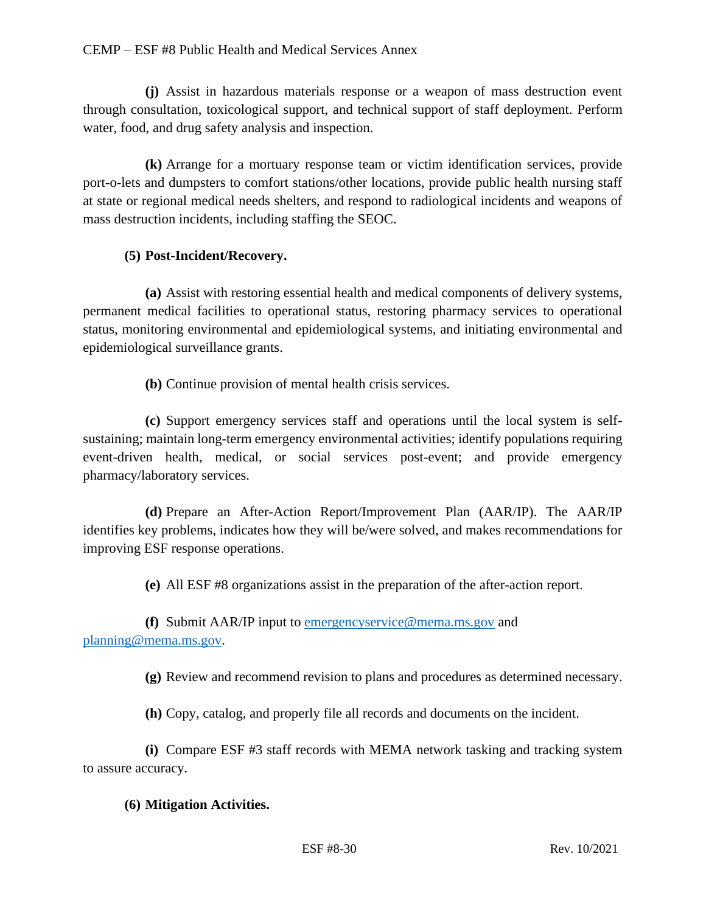**(j)** Assist in hazardous materials response or a weapon of mass destruction event through consultation, toxicological support, and technical support of staff deployment. Perform water, food, and drug safety analysis and inspection.

**(k)** Arrange for a mortuary response team or victim identification services, provide port-o-lets and dumpsters to comfort stations/other locations, provide public health nursing staff at state or regional medical needs shelters, and respond to radiological incidents and weapons of mass destruction incidents, including staffing the SEOC.

## **(5) Post-Incident/Recovery.**

**(a)** Assist with restoring essential health and medical components of delivery systems, permanent medical facilities to operational status, restoring pharmacy services to operational status, monitoring environmental and epidemiological systems, and initiating environmental and epidemiological surveillance grants.

**(b)** Continue provision of mental health crisis services.

**(c)** Support emergency services staff and operations until the local system is selfsustaining; maintain long-term emergency environmental activities; identify populations requiring event-driven health, medical, or social services post-event; and provide emergency pharmacy/laboratory services.

**(d)** Prepare an After-Action Report/Improvement Plan (AAR/IP). The AAR/IP identifies key problems, indicates how they will be/were solved, and makes recommendations for improving ESF response operations.

**(e)** All ESF #8 organizations assist in the preparation of the after-action report.

**(f)** Submit AAR/IP input to [emergencyservice@mema.ms.gov](mailto:emergencyservice@mema.ms.gov) and [planning@mema.ms.gov.](mailto:planning@mema.ms.gov)

**(g)** Review and recommend revision to plans and procedures as determined necessary.

**(h)** Copy, catalog, and properly file all records and documents on the incident.

**(i)** Compare ESF #3 staff records with MEMA network tasking and tracking system to assure accuracy.

## **(6) Mitigation Activities.**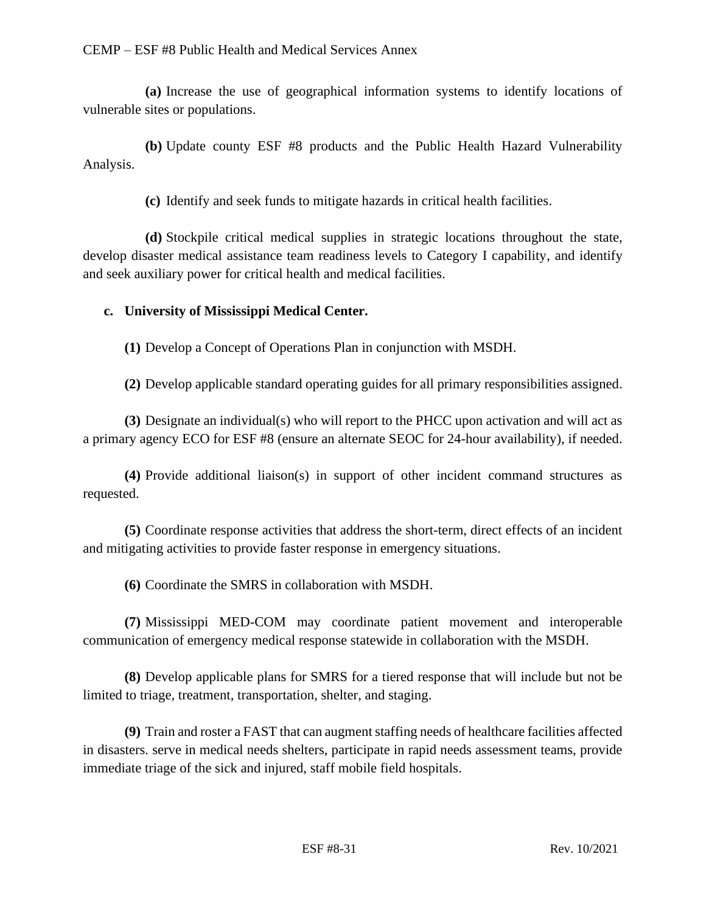**(a)** Increase the use of geographical information systems to identify locations of vulnerable sites or populations.

**(b)** Update county ESF #8 products and the Public Health Hazard Vulnerability Analysis.

**(c)** Identify and seek funds to mitigate hazards in critical health facilities.

**(d)** Stockpile critical medical supplies in strategic locations throughout the state, develop disaster medical assistance team readiness levels to Category I capability, and identify and seek auxiliary power for critical health and medical facilities.

## **c. University of Mississippi Medical Center.**

**(1)** Develop a Concept of Operations Plan in conjunction with MSDH.

**(2)** Develop applicable standard operating guides for all primary responsibilities assigned.

**(3)** Designate an individual(s) who will report to the PHCC upon activation and will act as a primary agency ECO for ESF #8 (ensure an alternate SEOC for 24-hour availability), if needed.

**(4)** Provide additional liaison(s) in support of other incident command structures as requested.

**(5)** Coordinate response activities that address the short-term, direct effects of an incident and mitigating activities to provide faster response in emergency situations.

**(6)** Coordinate the SMRS in collaboration with MSDH.

**(7)** Mississippi MED-COM may coordinate patient movement and interoperable communication of emergency medical response statewide in collaboration with the MSDH.

**(8)** Develop applicable plans for SMRS for a tiered response that will include but not be limited to triage, treatment, transportation, shelter, and staging.

**(9)** Train and roster a FAST that can augment staffing needs of healthcare facilities affected in disasters. serve in medical needs shelters, participate in rapid needs assessment teams, provide immediate triage of the sick and injured, staff mobile field hospitals.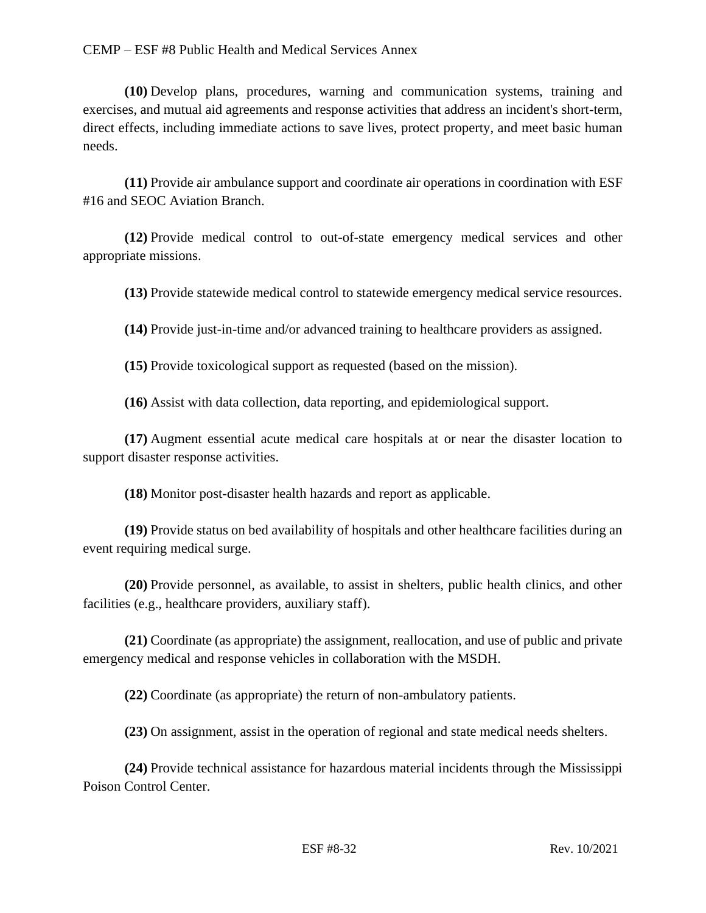**(10)** Develop plans, procedures, warning and communication systems, training and exercises, and mutual aid agreements and response activities that address an incident's short-term, direct effects, including immediate actions to save lives, protect property, and meet basic human needs.

**(11)** Provide air ambulance support and coordinate air operations in coordination with ESF #16 and SEOC Aviation Branch.

**(12)** Provide medical control to out-of-state emergency medical services and other appropriate missions.

**(13)** Provide statewide medical control to statewide emergency medical service resources.

**(14)** Provide just-in-time and/or advanced training to healthcare providers as assigned.

**(15)** Provide toxicological support as requested (based on the mission).

**(16)** Assist with data collection, data reporting, and epidemiological support.

**(17)** Augment essential acute medical care hospitals at or near the disaster location to support disaster response activities.

**(18)** Monitor post-disaster health hazards and report as applicable.

**(19)** Provide status on bed availability of hospitals and other healthcare facilities during an event requiring medical surge.

**(20)** Provide personnel, as available, to assist in shelters, public health clinics, and other facilities (e.g., healthcare providers, auxiliary staff).

**(21)** Coordinate (as appropriate) the assignment, reallocation, and use of public and private emergency medical and response vehicles in collaboration with the MSDH.

**(22)** Coordinate (as appropriate) the return of non-ambulatory patients.

**(23)** On assignment, assist in the operation of regional and state medical needs shelters.

**(24)** Provide technical assistance for hazardous material incidents through the Mississippi Poison Control Center.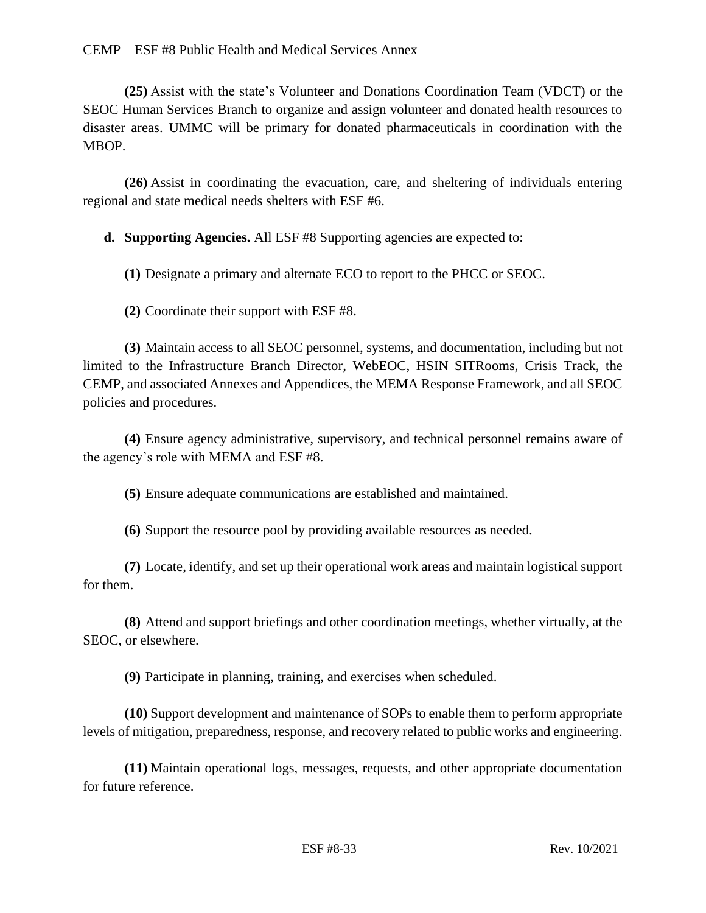**(25)** Assist with the state's Volunteer and Donations Coordination Team (VDCT) or the SEOC Human Services Branch to organize and assign volunteer and donated health resources to disaster areas. UMMC will be primary for donated pharmaceuticals in coordination with the MBOP.

**(26)** Assist in coordinating the evacuation, care, and sheltering of individuals entering regional and state medical needs shelters with ESF #6.

**d. Supporting Agencies.** All ESF #8 Supporting agencies are expected to:

**(1)** Designate a primary and alternate ECO to report to the PHCC or SEOC.

**(2)** Coordinate their support with ESF #8.

**(3)** Maintain access to all SEOC personnel, systems, and documentation, including but not limited to the Infrastructure Branch Director, WebEOC, HSIN SITRooms, Crisis Track, the CEMP, and associated Annexes and Appendices, the MEMA Response Framework, and all SEOC policies and procedures.

**(4)** Ensure agency administrative, supervisory, and technical personnel remains aware of the agency's role with MEMA and ESF #8.

**(5)** Ensure adequate communications are established and maintained.

**(6)** Support the resource pool by providing available resources as needed.

**(7)** Locate, identify, and set up their operational work areas and maintain logistical support for them.

**(8)** Attend and support briefings and other coordination meetings, whether virtually, at the SEOC, or elsewhere.

**(9)** Participate in planning, training, and exercises when scheduled.

**(10)** Support development and maintenance of SOPs to enable them to perform appropriate levels of mitigation, preparedness, response, and recovery related to public works and engineering.

**(11)** Maintain operational logs, messages, requests, and other appropriate documentation for future reference.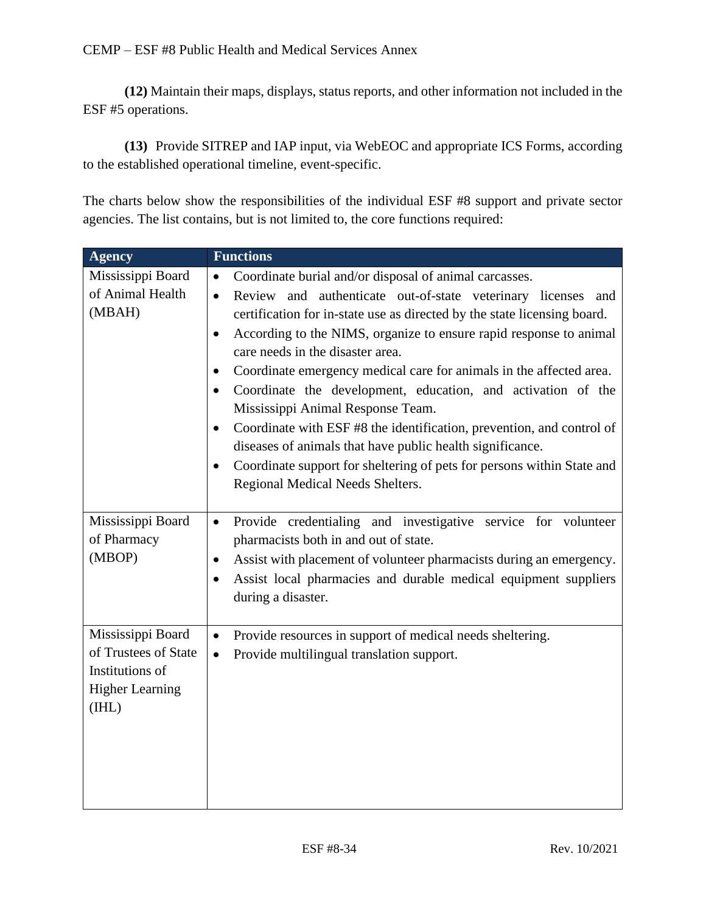**(12)** Maintain their maps, displays, status reports, and other information not included in the ESF #5 operations.

**(13)** Provide SITREP and IAP input, via WebEOC and appropriate ICS Forms, according to the established operational timeline, event-specific.

The charts below show the responsibilities of the individual ESF #8 support and private sector agencies. The list contains, but is not limited to, the core functions required:

| <b>Agency</b>                                                                                   | <b>Functions</b>                                                                                                                                                                                                                                                                                                                                                                                                                                                                                                                                                                                                                                                                                                                                         |
|-------------------------------------------------------------------------------------------------|----------------------------------------------------------------------------------------------------------------------------------------------------------------------------------------------------------------------------------------------------------------------------------------------------------------------------------------------------------------------------------------------------------------------------------------------------------------------------------------------------------------------------------------------------------------------------------------------------------------------------------------------------------------------------------------------------------------------------------------------------------|
| Mississippi Board                                                                               | Coordinate burial and/or disposal of animal carcasses.<br>$\bullet$                                                                                                                                                                                                                                                                                                                                                                                                                                                                                                                                                                                                                                                                                      |
| of Animal Health<br>(MBAH)                                                                      | Review and authenticate out-of-state veterinary licenses and<br>$\bullet$<br>certification for in-state use as directed by the state licensing board.<br>According to the NIMS, organize to ensure rapid response to animal<br>$\bullet$<br>care needs in the disaster area.<br>Coordinate emergency medical care for animals in the affected area.<br>٠<br>Coordinate the development, education, and activation of the<br>$\bullet$<br>Mississippi Animal Response Team.<br>Coordinate with ESF #8 the identification, prevention, and control of<br>$\bullet$<br>diseases of animals that have public health significance.<br>Coordinate support for sheltering of pets for persons within State and<br>$\bullet$<br>Regional Medical Needs Shelters. |
| Mississippi Board<br>of Pharmacy<br>(MBOP)                                                      | Provide credentialing and investigative service for volunteer<br>$\bullet$<br>pharmacists both in and out of state.<br>Assist with placement of volunteer pharmacists during an emergency.<br>$\bullet$<br>Assist local pharmacies and durable medical equipment suppliers<br>$\bullet$<br>during a disaster.                                                                                                                                                                                                                                                                                                                                                                                                                                            |
| Mississippi Board<br>of Trustees of State<br>Institutions of<br><b>Higher Learning</b><br>(HIL) | Provide resources in support of medical needs sheltering.<br>$\bullet$<br>Provide multilingual translation support.<br>$\bullet$                                                                                                                                                                                                                                                                                                                                                                                                                                                                                                                                                                                                                         |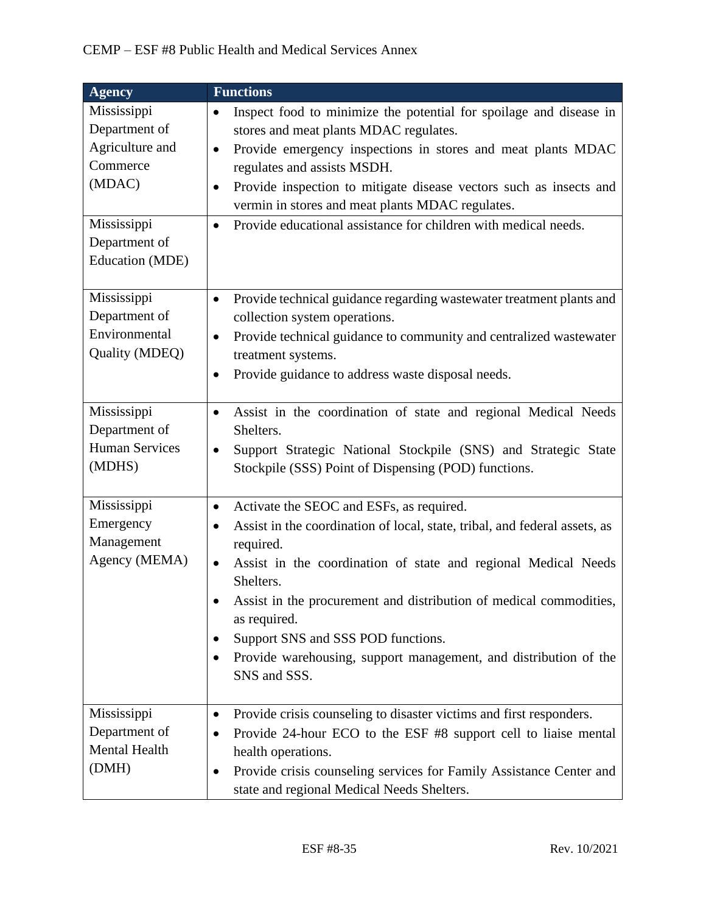| <b>Agency</b>                                                                                                            | <b>Functions</b>                                                                                                                                                                                                                                                                                                                                                                                                                                                                            |
|--------------------------------------------------------------------------------------------------------------------------|---------------------------------------------------------------------------------------------------------------------------------------------------------------------------------------------------------------------------------------------------------------------------------------------------------------------------------------------------------------------------------------------------------------------------------------------------------------------------------------------|
| Mississippi<br>Department of<br>Agriculture and<br>Commerce<br>(MDAC)<br>Mississippi<br>Department of<br>Education (MDE) | Inspect food to minimize the potential for spoilage and disease in<br>$\bullet$<br>stores and meat plants MDAC regulates.<br>Provide emergency inspections in stores and meat plants MDAC<br>$\bullet$<br>regulates and assists MSDH.<br>Provide inspection to mitigate disease vectors such as insects and<br>$\bullet$<br>vermin in stores and meat plants MDAC regulates.<br>Provide educational assistance for children with medical needs.<br>$\bullet$                                |
| Mississippi<br>Department of<br>Environmental<br>Quality (MDEQ)                                                          | Provide technical guidance regarding wastewater treatment plants and<br>$\bullet$<br>collection system operations.<br>Provide technical guidance to community and centralized wastewater<br>$\bullet$<br>treatment systems.<br>Provide guidance to address waste disposal needs.<br>$\bullet$                                                                                                                                                                                               |
| Mississippi<br>Department of<br><b>Human Services</b><br>(MDHS)                                                          | Assist in the coordination of state and regional Medical Needs<br>$\bullet$<br>Shelters.<br>Support Strategic National Stockpile (SNS) and Strategic State<br>$\bullet$<br>Stockpile (SSS) Point of Dispensing (POD) functions.                                                                                                                                                                                                                                                             |
| Mississippi<br>Emergency<br>Management<br>Agency (MEMA)                                                                  | Activate the SEOC and ESFs, as required.<br>$\bullet$<br>Assist in the coordination of local, state, tribal, and federal assets, as<br>$\bullet$<br>required.<br>Assist in the coordination of state and regional Medical Needs<br>$\bullet$<br>Shelters.<br>Assist in the procurement and distribution of medical commodities,<br>as required.<br>Support SNS and SSS POD functions.<br>٠<br>Provide warehousing, support management, and distribution of the<br>$\bullet$<br>SNS and SSS. |
| Mississippi<br>Department of<br>Mental Health<br>(DMH)                                                                   | Provide crisis counseling to disaster victims and first responders.<br>$\bullet$<br>Provide 24-hour ECO to the ESF #8 support cell to liaise mental<br>$\bullet$<br>health operations.<br>Provide crisis counseling services for Family Assistance Center and<br>$\bullet$<br>state and regional Medical Needs Shelters.                                                                                                                                                                    |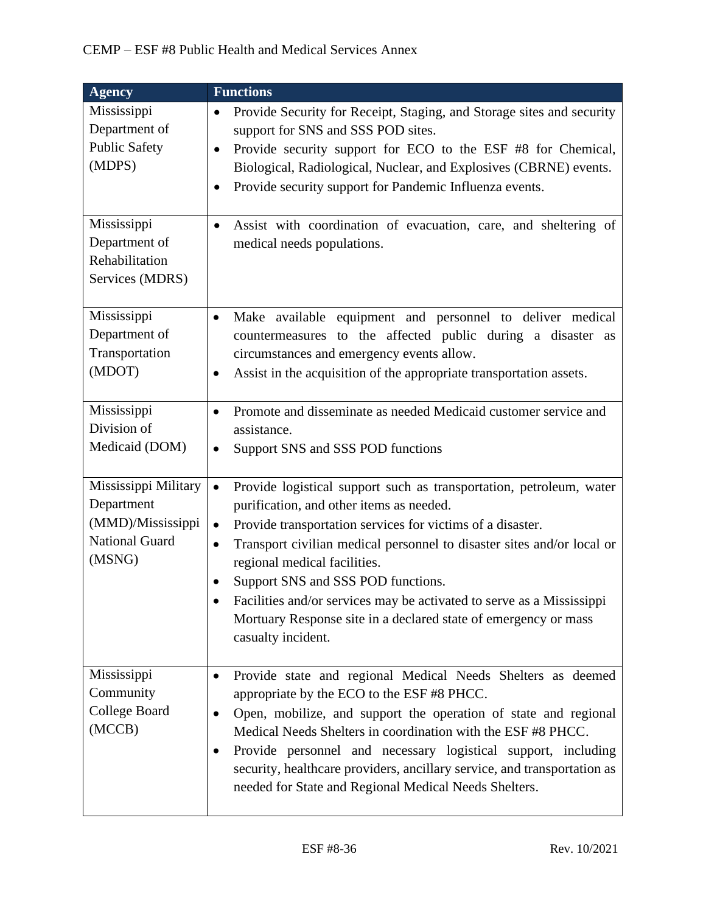| <b>Agency</b>                                                                       | <b>Functions</b>                                                                                                                                                                                                                                                                                                                                                                                                                                                                                                                       |
|-------------------------------------------------------------------------------------|----------------------------------------------------------------------------------------------------------------------------------------------------------------------------------------------------------------------------------------------------------------------------------------------------------------------------------------------------------------------------------------------------------------------------------------------------------------------------------------------------------------------------------------|
| Mississippi<br>Department of<br><b>Public Safety</b><br>(MDPS)                      | Provide Security for Receipt, Staging, and Storage sites and security<br>$\bullet$<br>support for SNS and SSS POD sites.<br>Provide security support for ECO to the ESF #8 for Chemical,<br>$\bullet$<br>Biological, Radiological, Nuclear, and Explosives (CBRNE) events.<br>Provide security support for Pandemic Influenza events.<br>$\bullet$                                                                                                                                                                                     |
| Mississippi<br>Department of<br>Rehabilitation<br>Services (MDRS)                   | Assist with coordination of evacuation, care, and sheltering of<br>$\bullet$<br>medical needs populations.                                                                                                                                                                                                                                                                                                                                                                                                                             |
| Mississippi<br>Department of<br>Transportation<br>(MDOT)                            | Make available equipment and personnel to deliver medical<br>$\bullet$<br>countermeasures to the affected public during a disaster as<br>circumstances and emergency events allow.<br>Assist in the acquisition of the appropriate transportation assets.<br>$\bullet$                                                                                                                                                                                                                                                                 |
| Mississippi<br>Division of<br>Medicaid (DOM)                                        | Promote and disseminate as needed Medicaid customer service and<br>$\bullet$<br>assistance.<br>Support SNS and SSS POD functions<br>$\bullet$                                                                                                                                                                                                                                                                                                                                                                                          |
| Mississippi Military<br>Department<br>(MMD)/Mississippi<br>National Guard<br>(MSNG) | Provide logistical support such as transportation, petroleum, water<br>$\bullet$<br>purification, and other items as needed.<br>Provide transportation services for victims of a disaster.<br>$\bullet$<br>Transport civilian medical personnel to disaster sites and/or local or<br>$\bullet$<br>regional medical facilities.<br>Support SNS and SSS POD functions.<br>Facilities and/or services may be activated to serve as a Mississippi<br>Mortuary Response site in a declared state of emergency or mass<br>casualty incident. |
| Mississippi<br>Community<br>College Board<br>(MCCB)                                 | Provide state and regional Medical Needs Shelters as deemed<br>٠<br>appropriate by the ECO to the ESF #8 PHCC.<br>Open, mobilize, and support the operation of state and regional<br>$\bullet$<br>Medical Needs Shelters in coordination with the ESF #8 PHCC.<br>Provide personnel and necessary logistical support, including<br>$\bullet$<br>security, healthcare providers, ancillary service, and transportation as<br>needed for State and Regional Medical Needs Shelters.                                                      |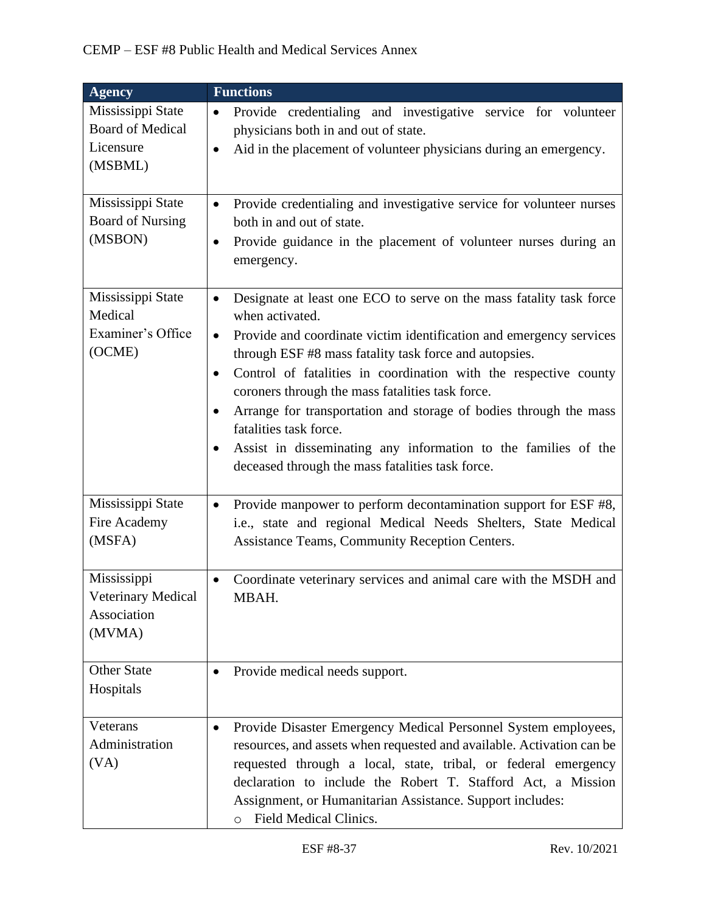| <b>Agency</b>                                                        | <b>Functions</b>                                                                                                                                                                                                                                                                                                                                                                                                                                                                                                                                                                                                                      |
|----------------------------------------------------------------------|---------------------------------------------------------------------------------------------------------------------------------------------------------------------------------------------------------------------------------------------------------------------------------------------------------------------------------------------------------------------------------------------------------------------------------------------------------------------------------------------------------------------------------------------------------------------------------------------------------------------------------------|
| Mississippi State<br><b>Board of Medical</b><br>Licensure<br>(MSBML) | Provide credentialing and investigative service for volunteer<br>$\bullet$<br>physicians both in and out of state.<br>Aid in the placement of volunteer physicians during an emergency.<br>$\bullet$                                                                                                                                                                                                                                                                                                                                                                                                                                  |
| Mississippi State<br><b>Board of Nursing</b><br>(MSBON)              | Provide credentialing and investigative service for volunteer nurses<br>$\bullet$<br>both in and out of state.<br>Provide guidance in the placement of volunteer nurses during an<br>$\bullet$<br>emergency.                                                                                                                                                                                                                                                                                                                                                                                                                          |
| Mississippi State<br>Medical<br>Examiner's Office<br>(OCME)          | Designate at least one ECO to serve on the mass fatality task force<br>$\bullet$<br>when activated.<br>Provide and coordinate victim identification and emergency services<br>$\bullet$<br>through ESF #8 mass fatality task force and autopsies.<br>Control of fatalities in coordination with the respective county<br>$\bullet$<br>coroners through the mass fatalities task force.<br>Arrange for transportation and storage of bodies through the mass<br>$\bullet$<br>fatalities task force.<br>Assist in disseminating any information to the families of the<br>$\bullet$<br>deceased through the mass fatalities task force. |
| Mississippi State<br>Fire Academy<br>(MSFA)                          | Provide manpower to perform decontamination support for ESF #8,<br>$\bullet$<br>i.e., state and regional Medical Needs Shelters, State Medical<br>Assistance Teams, Community Reception Centers.                                                                                                                                                                                                                                                                                                                                                                                                                                      |
| Mississippi<br><b>Veterinary Medical</b><br>Association<br>(MVMA)    | Coordinate veterinary services and animal care with the MSDH and<br>$\bullet$<br>MBAH.                                                                                                                                                                                                                                                                                                                                                                                                                                                                                                                                                |
| <b>Other State</b><br>Hospitals                                      | Provide medical needs support.<br>$\bullet$                                                                                                                                                                                                                                                                                                                                                                                                                                                                                                                                                                                           |
| Veterans<br>Administration<br>(VA)                                   | Provide Disaster Emergency Medical Personnel System employees,<br>$\bullet$<br>resources, and assets when requested and available. Activation can be<br>requested through a local, state, tribal, or federal emergency<br>declaration to include the Robert T. Stafford Act, a Mission<br>Assignment, or Humanitarian Assistance. Support includes:<br>Field Medical Clinics.<br>$\circ$                                                                                                                                                                                                                                              |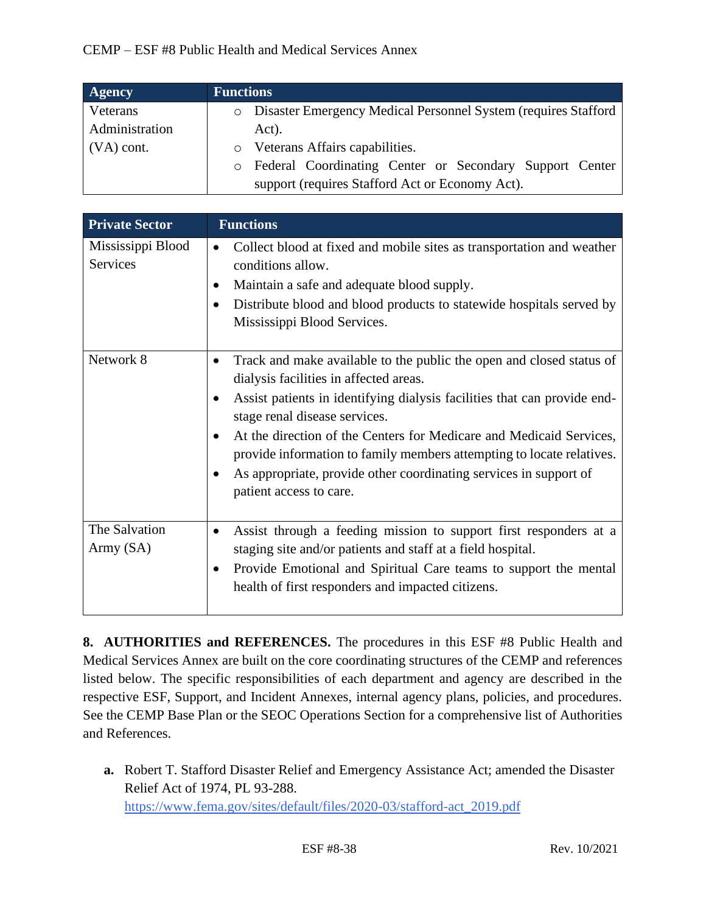| <b>Agency</b>  | <b>Functions</b>                                                 |
|----------------|------------------------------------------------------------------|
| Veterans       | o Disaster Emergency Medical Personnel System (requires Stafford |
| Administration | Act).                                                            |
| $(VA)$ cont.   | o Veterans Affairs capabilities.                                 |
|                | o Federal Coordinating Center or Secondary Support Center        |
|                | support (requires Stafford Act or Economy Act).                  |

| <b>Private Sector</b>         | <b>Functions</b>                                                                                                                                                                                                                                                                                                                                                                                                                                                                                   |
|-------------------------------|----------------------------------------------------------------------------------------------------------------------------------------------------------------------------------------------------------------------------------------------------------------------------------------------------------------------------------------------------------------------------------------------------------------------------------------------------------------------------------------------------|
| Mississippi Blood<br>Services | Collect blood at fixed and mobile sites as transportation and weather<br>$\bullet$<br>conditions allow.<br>Maintain a safe and adequate blood supply.<br>Distribute blood and blood products to statewide hospitals served by<br>$\bullet$<br>Mississippi Blood Services.                                                                                                                                                                                                                          |
| Network 8                     | Track and make available to the public the open and closed status of<br>$\bullet$<br>dialysis facilities in affected areas.<br>Assist patients in identifying dialysis facilities that can provide end-<br>٠<br>stage renal disease services.<br>At the direction of the Centers for Medicare and Medicaid Services,<br>provide information to family members attempting to locate relatives.<br>As appropriate, provide other coordinating services in support of<br>٠<br>patient access to care. |
| The Salvation<br>Army (SA)    | Assist through a feeding mission to support first responders at a<br>$\bullet$<br>staging site and/or patients and staff at a field hospital.<br>Provide Emotional and Spiritual Care teams to support the mental<br>$\bullet$<br>health of first responders and impacted citizens.                                                                                                                                                                                                                |

**8. AUTHORITIES and REFERENCES.** The procedures in this ESF #8 Public Health and Medical Services Annex are built on the core coordinating structures of the CEMP and references listed below. The specific responsibilities of each department and agency are described in the respective ESF, Support, and Incident Annexes, internal agency plans, policies, and procedures. See the CEMP Base Plan or the SEOC Operations Section for a comprehensive list of Authorities and References.

**a.** Robert T. Stafford Disaster Relief and Emergency Assistance Act; amended the Disaster Relief Act of 1974, PL 93-288. [https://www.fema.gov/sites/default/files/2020-03/stafford-act\\_2019.pdf](https://www.fema.gov/sites/default/files/2020-03/stafford-act_2019.pdf)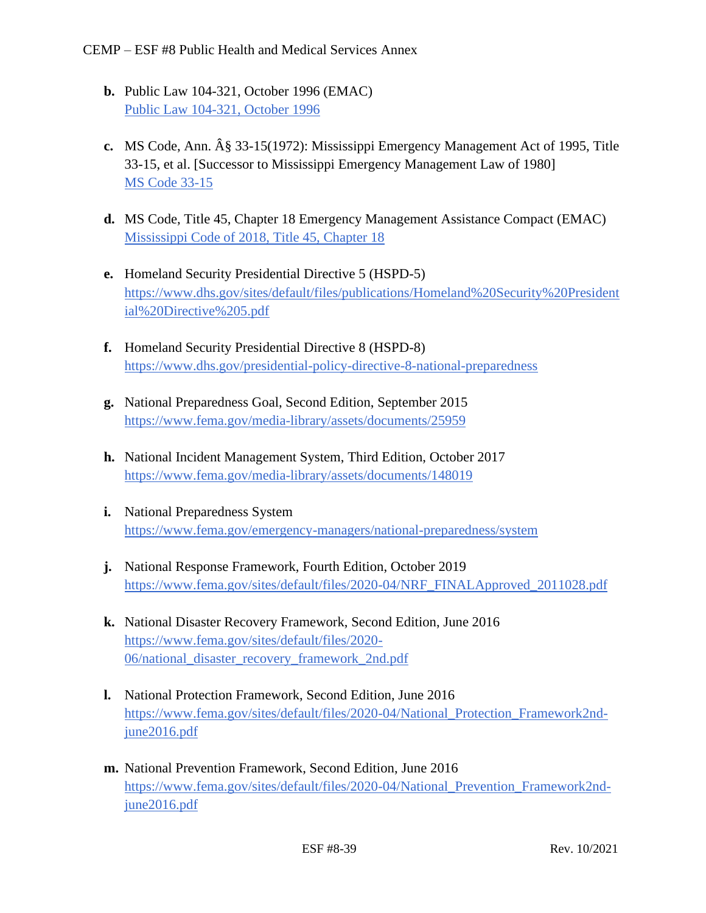- **b.** Public Law 104-321, October 1996 (EMAC) [Public Law 104-321, October 1996](https://www.congress.gov/104/plaws/publ321/PLAW-104publ321.pdf)
- **c.** MS Code, Ann. § 33-15(1972): Mississippi Emergency Management Act of 1995, Title 33-15, et al. [Successor to Mississippi Emergency Management Law of 1980] [MS Code 33-15](https://law.justia.com/codes/mississippi/2010/title-33/15/)
- **d.** MS Code, Title 45, Chapter 18 Emergency Management Assistance Compact (EMAC) [Mississippi Code of 2018, Title 45, Chapter 18](https://law.justia.com/codes/mississippi/2018/title-45/chapter-18/)
- **e.** Homeland Security Presidential Directive 5 (HSPD-5) [https://www.dhs.gov/sites/default/files/publications/Homeland%20Security%20President](https://www.dhs.gov/sites/default/files/publications/Homeland%20Security%20Presidential%20Directive%205.pdf) [ial%20Directive%205.pdf](https://www.dhs.gov/sites/default/files/publications/Homeland%20Security%20Presidential%20Directive%205.pdf)
- **f.** Homeland Security Presidential Directive 8 (HSPD-8) <https://www.dhs.gov/presidential-policy-directive-8-national-preparedness>
- **g.** National Preparedness Goal, Second Edition, September 2015 <https://www.fema.gov/media-library/assets/documents/25959>
- **h.** National Incident Management System, Third Edition, October 2017 <https://www.fema.gov/media-library/assets/documents/148019>
- **i.** National Preparedness System <https://www.fema.gov/emergency-managers/national-preparedness/system>
- **j.** National Response Framework, Fourth Edition, October 2019 [https://www.fema.gov/sites/default/files/2020-04/NRF\\_FINALApproved\\_2011028.pdf](https://www.fema.gov/sites/default/files/2020-04/NRF_FINALApproved_2011028.pdf)
- **k.** National Disaster Recovery Framework, Second Edition, June 2016 [https://www.fema.gov/sites/default/files/2020-](https://www.fema.gov/sites/default/files/2020-06/national_disaster_recovery_framework_2nd.pdf) [06/national\\_disaster\\_recovery\\_framework\\_2nd.pdf](https://www.fema.gov/sites/default/files/2020-06/national_disaster_recovery_framework_2nd.pdf)
- **l.** National Protection Framework, Second Edition, June 2016 [https://www.fema.gov/sites/default/files/2020-04/National\\_Protection\\_Framework2nd](https://www.fema.gov/sites/default/files/2020-04/National_Protection_Framework2nd-june2016.pdf)[june2016.pdf](https://www.fema.gov/sites/default/files/2020-04/National_Protection_Framework2nd-june2016.pdf)
- **m.** National Prevention Framework, Second Edition, June 2016 [https://www.fema.gov/sites/default/files/2020-04/National\\_Prevention\\_Framework2nd](https://www.fema.gov/sites/default/files/2020-04/National_Prevention_Framework2nd-june2016.pdf)[june2016.pdf](https://www.fema.gov/sites/default/files/2020-04/National_Prevention_Framework2nd-june2016.pdf)